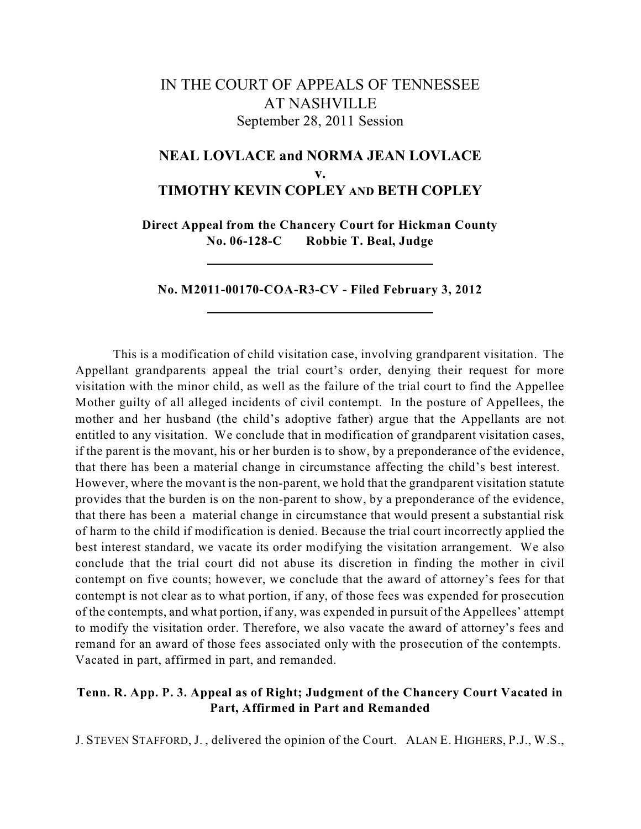# IN THE COURT OF APPEALS OF TENNESSEE AT NASHVILLE September 28, 2011 Session

# **NEAL LOVLACE and NORMA JEAN LOVLACE v. TIMOTHY KEVIN COPLEY AND BETH COPLEY**

**Direct Appeal from the Chancery Court for Hickman County No. 06-128-C Robbie T. Beal, Judge**

**No. M2011-00170-COA-R3-CV - Filed February 3, 2012**

This is a modification of child visitation case, involving grandparent visitation. The Appellant grandparents appeal the trial court's order, denying their request for more visitation with the minor child, as well as the failure of the trial court to find the Appellee Mother guilty of all alleged incidents of civil contempt. In the posture of Appellees, the mother and her husband (the child's adoptive father) argue that the Appellants are not entitled to any visitation. We conclude that in modification of grandparent visitation cases, if the parent is the movant, his or her burden is to show, by a preponderance of the evidence, that there has been a material change in circumstance affecting the child's best interest. However, where the movant is the non-parent, we hold that the grandparent visitation statute provides that the burden is on the non-parent to show, by a preponderance of the evidence, that there has been a material change in circumstance that would present a substantial risk of harm to the child if modification is denied. Because the trial court incorrectly applied the best interest standard, we vacate its order modifying the visitation arrangement. We also conclude that the trial court did not abuse its discretion in finding the mother in civil contempt on five counts; however, we conclude that the award of attorney's fees for that contempt is not clear as to what portion, if any, of those fees was expended for prosecution of the contempts, and what portion, if any, was expended in pursuit of the Appellees' attempt to modify the visitation order. Therefore, we also vacate the award of attorney's fees and remand for an award of those fees associated only with the prosecution of the contempts. Vacated in part, affirmed in part, and remanded.

# **Tenn. R. App. P. 3. Appeal as of Right; Judgment of the Chancery Court Vacated in Part, Affirmed in Part and Remanded**

J. STEVEN STAFFORD, J. , delivered the opinion of the Court. ALAN E. HIGHERS, P.J., W.S.,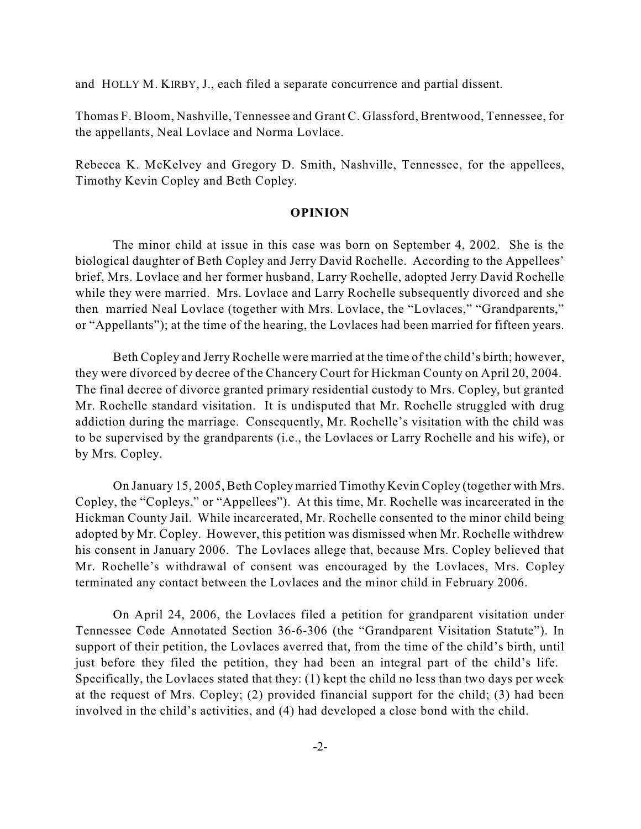and HOLLY M. KIRBY, J., each filed a separate concurrence and partial dissent.

Thomas F. Bloom, Nashville, Tennessee and Grant C. Glassford, Brentwood, Tennessee, for the appellants, Neal Lovlace and Norma Lovlace.

Rebecca K. McKelvey and Gregory D. Smith, Nashville, Tennessee, for the appellees, Timothy Kevin Copley and Beth Copley.

### **OPINION**

The minor child at issue in this case was born on September 4, 2002. She is the biological daughter of Beth Copley and Jerry David Rochelle. According to the Appellees' brief, Mrs. Lovlace and her former husband, Larry Rochelle, adopted Jerry David Rochelle while they were married. Mrs. Lovlace and Larry Rochelle subsequently divorced and she then married Neal Lovlace (together with Mrs. Lovlace, the "Lovlaces," "Grandparents," or "Appellants"); at the time of the hearing, the Lovlaces had been married for fifteen years.

Beth Copley and Jerry Rochelle were married at the time of the child's birth; however, they were divorced by decree of the Chancery Court for Hickman County on April 20, 2004. The final decree of divorce granted primary residential custody to Mrs. Copley, but granted Mr. Rochelle standard visitation. It is undisputed that Mr. Rochelle struggled with drug addiction during the marriage. Consequently, Mr. Rochelle's visitation with the child was to be supervised by the grandparents (i.e., the Lovlaces or Larry Rochelle and his wife), or by Mrs. Copley.

On January 15, 2005, Beth Copley married Timothy Kevin Copley (together with Mrs. Copley, the "Copleys," or "Appellees"). At this time, Mr. Rochelle was incarcerated in the Hickman County Jail. While incarcerated, Mr. Rochelle consented to the minor child being adopted by Mr. Copley. However, this petition was dismissed when Mr. Rochelle withdrew his consent in January 2006. The Lovlaces allege that, because Mrs. Copley believed that Mr. Rochelle's withdrawal of consent was encouraged by the Lovlaces, Mrs. Copley terminated any contact between the Lovlaces and the minor child in February 2006.

On April 24, 2006, the Lovlaces filed a petition for grandparent visitation under Tennessee Code Annotated Section 36-6-306 (the "Grandparent Visitation Statute"). In support of their petition, the Lovlaces averred that, from the time of the child's birth, until just before they filed the petition, they had been an integral part of the child's life. Specifically, the Lovlaces stated that they: (1) kept the child no less than two days per week at the request of Mrs. Copley; (2) provided financial support for the child; (3) had been involved in the child's activities, and (4) had developed a close bond with the child.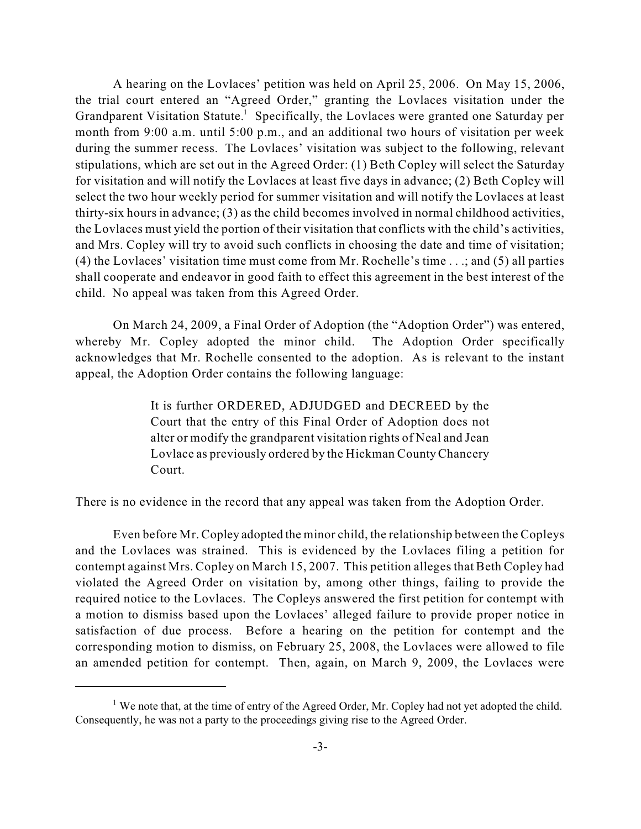A hearing on the Lovlaces' petition was held on April 25, 2006. On May 15, 2006, the trial court entered an "Agreed Order," granting the Lovlaces visitation under the Grandparent Visitation Statute.<sup>1</sup> Specifically, the Lovlaces were granted one Saturday per month from 9:00 a.m. until 5:00 p.m., and an additional two hours of visitation per week during the summer recess. The Lovlaces' visitation was subject to the following, relevant stipulations, which are set out in the Agreed Order: (1) Beth Copley will select the Saturday for visitation and will notify the Lovlaces at least five days in advance; (2) Beth Copley will select the two hour weekly period for summer visitation and will notify the Lovlaces at least thirty-six hours in advance; (3) as the child becomes involved in normal childhood activities, the Lovlaces must yield the portion of their visitation that conflicts with the child's activities, and Mrs. Copley will try to avoid such conflicts in choosing the date and time of visitation; (4) the Lovlaces' visitation time must come from Mr. Rochelle's time . . .; and (5) all parties shall cooperate and endeavor in good faith to effect this agreement in the best interest of the child. No appeal was taken from this Agreed Order.

On March 24, 2009, a Final Order of Adoption (the "Adoption Order") was entered, whereby Mr. Copley adopted the minor child. The Adoption Order specifically acknowledges that Mr. Rochelle consented to the adoption. As is relevant to the instant appeal, the Adoption Order contains the following language:

> It is further ORDERED, ADJUDGED and DECREED by the Court that the entry of this Final Order of Adoption does not alter or modify the grandparent visitation rights of Neal and Jean Lovlace as previously ordered by the Hickman County Chancery Court.

There is no evidence in the record that any appeal was taken from the Adoption Order.

Even before Mr. Copley adopted the minor child, the relationship between the Copleys and the Lovlaces was strained. This is evidenced by the Lovlaces filing a petition for contempt against Mrs. Copley on March 15, 2007. This petition alleges that Beth Copley had violated the Agreed Order on visitation by, among other things, failing to provide the required notice to the Lovlaces. The Copleys answered the first petition for contempt with a motion to dismiss based upon the Lovlaces' alleged failure to provide proper notice in satisfaction of due process. Before a hearing on the petition for contempt and the corresponding motion to dismiss, on February 25, 2008, the Lovlaces were allowed to file an amended petition for contempt. Then, again, on March 9, 2009, the Lovlaces were

<sup>&</sup>lt;sup>1</sup> We note that, at the time of entry of the Agreed Order, Mr. Copley had not yet adopted the child. Consequently, he was not a party to the proceedings giving rise to the Agreed Order.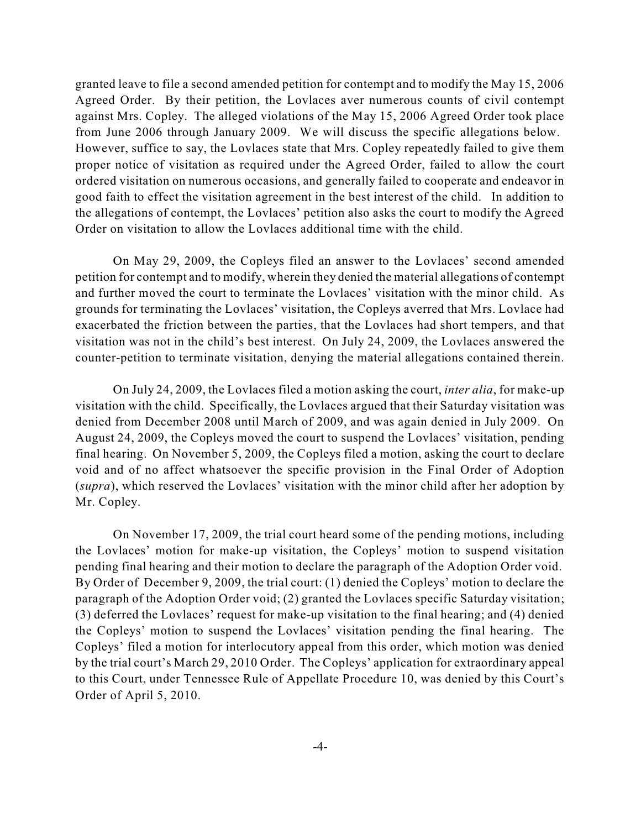granted leave to file a second amended petition for contempt and to modify the May 15, 2006 Agreed Order. By their petition, the Lovlaces aver numerous counts of civil contempt against Mrs. Copley. The alleged violations of the May 15, 2006 Agreed Order took place from June 2006 through January 2009. We will discuss the specific allegations below. However, suffice to say, the Lovlaces state that Mrs. Copley repeatedly failed to give them proper notice of visitation as required under the Agreed Order, failed to allow the court ordered visitation on numerous occasions, and generally failed to cooperate and endeavor in good faith to effect the visitation agreement in the best interest of the child. In addition to the allegations of contempt, the Lovlaces' petition also asks the court to modify the Agreed Order on visitation to allow the Lovlaces additional time with the child.

On May 29, 2009, the Copleys filed an answer to the Lovlaces' second amended petition for contempt and to modify, wherein they denied the material allegations of contempt and further moved the court to terminate the Lovlaces' visitation with the minor child. As grounds for terminating the Lovlaces' visitation, the Copleys averred that Mrs. Lovlace had exacerbated the friction between the parties, that the Lovlaces had short tempers, and that visitation was not in the child's best interest. On July 24, 2009, the Lovlaces answered the counter-petition to terminate visitation, denying the material allegations contained therein.

On July 24, 2009, the Lovlaces filed a motion asking the court, *inter alia*, for make-up visitation with the child. Specifically, the Lovlaces argued that their Saturday visitation was denied from December 2008 until March of 2009, and was again denied in July 2009. On August 24, 2009, the Copleys moved the court to suspend the Lovlaces' visitation, pending final hearing. On November 5, 2009, the Copleys filed a motion, asking the court to declare void and of no affect whatsoever the specific provision in the Final Order of Adoption (*supra*), which reserved the Lovlaces' visitation with the minor child after her adoption by Mr. Copley.

On November 17, 2009, the trial court heard some of the pending motions, including the Lovlaces' motion for make-up visitation, the Copleys' motion to suspend visitation pending final hearing and their motion to declare the paragraph of the Adoption Order void. By Order of December 9, 2009, the trial court: (1) denied the Copleys' motion to declare the paragraph of the Adoption Order void; (2) granted the Lovlaces specific Saturday visitation; (3) deferred the Lovlaces' request for make-up visitation to the final hearing; and (4) denied the Copleys' motion to suspend the Lovlaces' visitation pending the final hearing. The Copleys' filed a motion for interlocutory appeal from this order, which motion was denied by the trial court's March 29, 2010 Order. The Copleys' application for extraordinary appeal to this Court, under Tennessee Rule of Appellate Procedure 10, was denied by this Court's Order of April 5, 2010.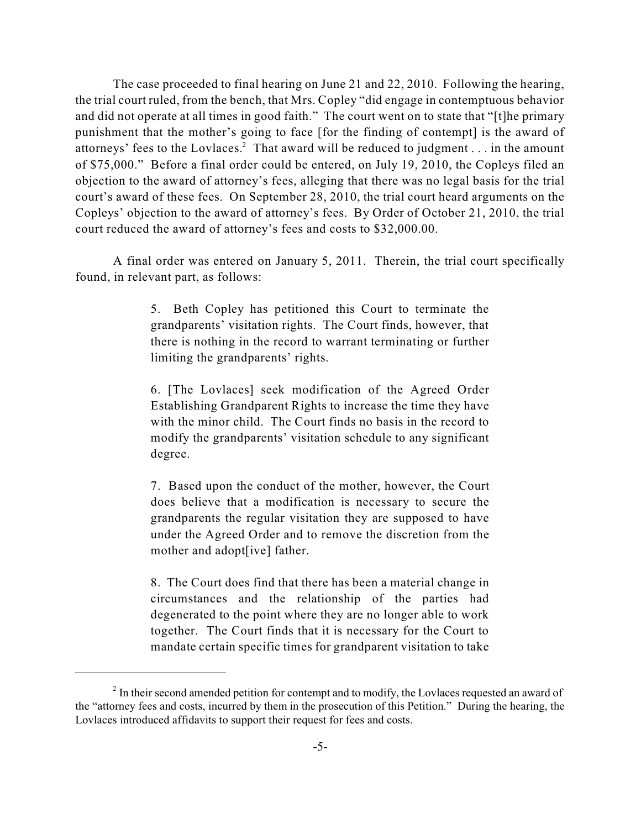The case proceeded to final hearing on June 21 and 22, 2010. Following the hearing, the trial court ruled, from the bench, that Mrs. Copley "did engage in contemptuous behavior and did not operate at all times in good faith." The court went on to state that "[t]he primary punishment that the mother's going to face [for the finding of contempt] is the award of attorneys' fees to the Lovlaces.<sup>2</sup> That award will be reduced to judgment . . . in the amount of \$75,000." Before a final order could be entered, on July 19, 2010, the Copleys filed an objection to the award of attorney's fees, alleging that there was no legal basis for the trial court's award of these fees. On September 28, 2010, the trial court heard arguments on the Copleys' objection to the award of attorney's fees. By Order of October 21, 2010, the trial court reduced the award of attorney's fees and costs to \$32,000.00.

A final order was entered on January 5, 2011. Therein, the trial court specifically found, in relevant part, as follows:

> 5. Beth Copley has petitioned this Court to terminate the grandparents' visitation rights. The Court finds, however, that there is nothing in the record to warrant terminating or further limiting the grandparents' rights.

> 6. [The Lovlaces] seek modification of the Agreed Order Establishing Grandparent Rights to increase the time they have with the minor child. The Court finds no basis in the record to modify the grandparents' visitation schedule to any significant degree.

> 7. Based upon the conduct of the mother, however, the Court does believe that a modification is necessary to secure the grandparents the regular visitation they are supposed to have under the Agreed Order and to remove the discretion from the mother and adopt[ive] father.

> 8. The Court does find that there has been a material change in circumstances and the relationship of the parties had degenerated to the point where they are no longer able to work together. The Court finds that it is necessary for the Court to mandate certain specific times for grandparent visitation to take

 $<sup>2</sup>$  In their second amended petition for contempt and to modify, the Lovlaces requested an award of</sup> the "attorney fees and costs, incurred by them in the prosecution of this Petition." During the hearing, the Lovlaces introduced affidavits to support their request for fees and costs.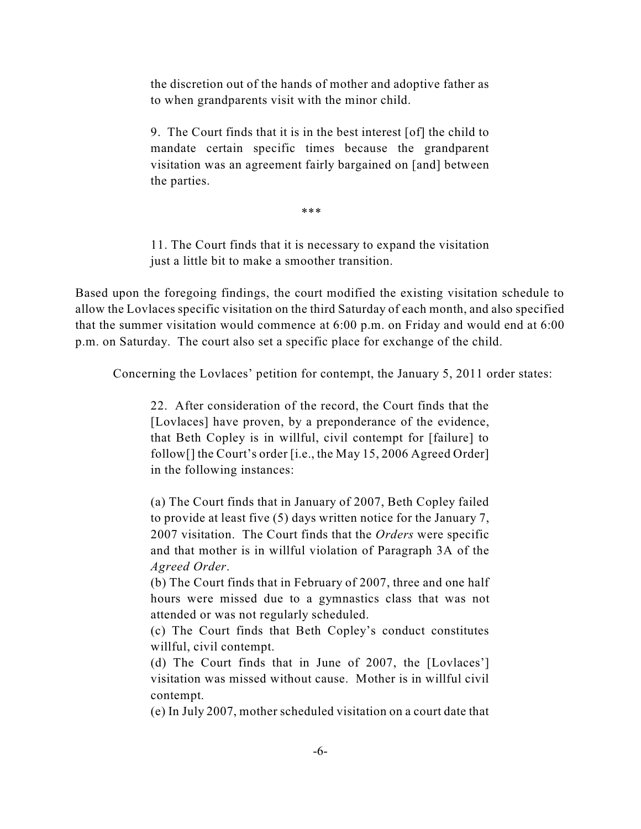the discretion out of the hands of mother and adoptive father as to when grandparents visit with the minor child.

9. The Court finds that it is in the best interest [of] the child to mandate certain specific times because the grandparent visitation was an agreement fairly bargained on [and] between the parties.

\*\*\*

11. The Court finds that it is necessary to expand the visitation just a little bit to make a smoother transition.

Based upon the foregoing findings, the court modified the existing visitation schedule to allow the Lovlaces specific visitation on the third Saturday of each month, and also specified that the summer visitation would commence at 6:00 p.m. on Friday and would end at 6:00 p.m. on Saturday. The court also set a specific place for exchange of the child.

Concerning the Lovlaces' petition for contempt, the January 5, 2011 order states:

22. After consideration of the record, the Court finds that the [Lovlaces] have proven, by a preponderance of the evidence, that Beth Copley is in willful, civil contempt for [failure] to follow[] the Court's order [i.e., the May 15, 2006 Agreed Order] in the following instances:

(a) The Court finds that in January of 2007, Beth Copley failed to provide at least five (5) days written notice for the January 7, 2007 visitation. The Court finds that the *Orders* were specific and that mother is in willful violation of Paragraph 3A of the *Agreed Order*.

(b) The Court finds that in February of 2007, three and one half hours were missed due to a gymnastics class that was not attended or was not regularly scheduled.

(c) The Court finds that Beth Copley's conduct constitutes willful, civil contempt.

(d) The Court finds that in June of 2007, the [Lovlaces'] visitation was missed without cause. Mother is in willful civil contempt.

(e) In July 2007, mother scheduled visitation on a court date that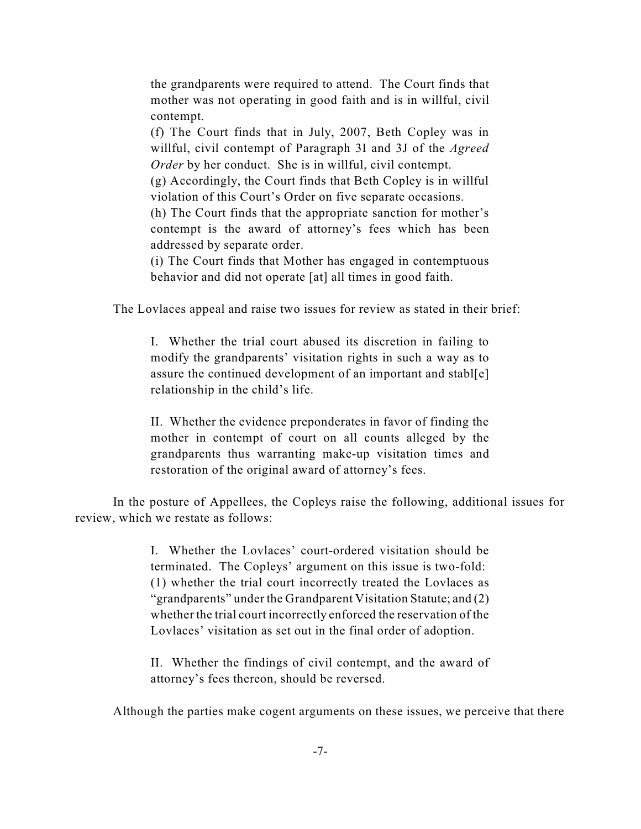the grandparents were required to attend. The Court finds that mother was not operating in good faith and is in willful, civil contempt.

(f) The Court finds that in July, 2007, Beth Copley was in willful, civil contempt of Paragraph 3I and 3J of the *Agreed Order* by her conduct. She is in willful, civil contempt.

(g) Accordingly, the Court finds that Beth Copley is in willful violation of this Court's Order on five separate occasions.

(h) The Court finds that the appropriate sanction for mother's contempt is the award of attorney's fees which has been addressed by separate order.

(i) The Court finds that Mother has engaged in contemptuous behavior and did not operate [at] all times in good faith.

The Lovlaces appeal and raise two issues for review as stated in their brief:

I. Whether the trial court abused its discretion in failing to modify the grandparents' visitation rights in such a way as to assure the continued development of an important and stabl[e] relationship in the child's life.

II. Whether the evidence preponderates in favor of finding the mother in contempt of court on all counts alleged by the grandparents thus warranting make-up visitation times and restoration of the original award of attorney's fees.

In the posture of Appellees, the Copleys raise the following, additional issues for review, which we restate as follows:

> I. Whether the Lovlaces' court-ordered visitation should be terminated. The Copleys' argument on this issue is two-fold: (1) whether the trial court incorrectly treated the Lovlaces as "grandparents" under the Grandparent Visitation Statute; and (2) whether the trial court incorrectly enforced the reservation of the Lovlaces' visitation as set out in the final order of adoption.

> II. Whether the findings of civil contempt, and the award of attorney's fees thereon, should be reversed.

Although the parties make cogent arguments on these issues, we perceive that there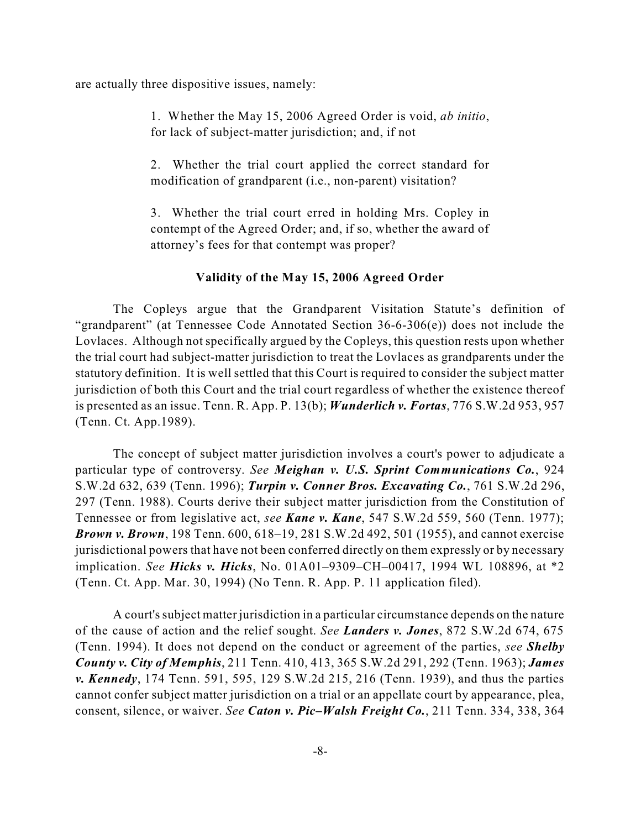are actually three dispositive issues, namely:

1. Whether the May 15, 2006 Agreed Order is void, *ab initio*, for lack of subject-matter jurisdiction; and, if not

2. Whether the trial court applied the correct standard for modification of grandparent (i.e., non-parent) visitation?

3. Whether the trial court erred in holding Mrs. Copley in contempt of the Agreed Order; and, if so, whether the award of attorney's fees for that contempt was proper?

### **Validity of the May 15, 2006 Agreed Order**

The Copleys argue that the Grandparent Visitation Statute's definition of "grandparent" (at Tennessee Code Annotated Section 36-6-306(e)) does not include the Lovlaces. Although not specifically argued by the Copleys, this question rests upon whether the trial court had subject-matter jurisdiction to treat the Lovlaces as grandparents under the statutory definition. It is well settled that this Court is required to consider the subject matter jurisdiction of both this Court and the trial court regardless of whether the existence thereof is presented as an issue. Tenn. R. App. P. 13(b); *Wunderlich v. Fortas*, 776 S.W.2d 953, 957 (Tenn. Ct. App.1989).

The concept of subject matter jurisdiction involves a court's power to adjudicate a particular type of controversy. *See Meighan v. U.S. Sprint Communications Co.*, 924 S.W.2d 632, 639 (Tenn. 1996); *Turpin v. Conner Bros. Excavating Co.*, 761 S.W.2d 296, 297 (Tenn. 1988). Courts derive their subject matter jurisdiction from the Constitution of Tennessee or from legislative act, *see Kane v. Kane*, 547 S.W.2d 559, 560 (Tenn. 1977); *Brown v. Brown*, 198 Tenn. 600, 618–19, 281 S.W.2d 492, 501 (1955), and cannot exercise jurisdictional powers that have not been conferred directly on them expressly or by necessary implication. *See Hicks v. Hicks*, No. 01A01–9309–CH–00417, 1994 WL 108896, at \*2 (Tenn. Ct. App. Mar. 30, 1994) (No Tenn. R. App. P. 11 application filed).

A court's subject matter jurisdiction in a particular circumstance depends on the nature of the cause of action and the relief sought. *See Landers v. Jones*, 872 S.W.2d 674, 675 (Tenn. 1994). It does not depend on the conduct or agreement of the parties, *see Shelby County v. City of Memphis*, 211 Tenn. 410, 413, 365 S.W.2d 291, 292 (Tenn. 1963); *James v. Kennedy*, 174 Tenn. 591, 595, 129 S.W.2d 215, 216 (Tenn. 1939), and thus the parties cannot confer subject matter jurisdiction on a trial or an appellate court by appearance, plea, consent, silence, or waiver. *See Caton v. Pic–Walsh Freight Co.*, 211 Tenn. 334, 338, 364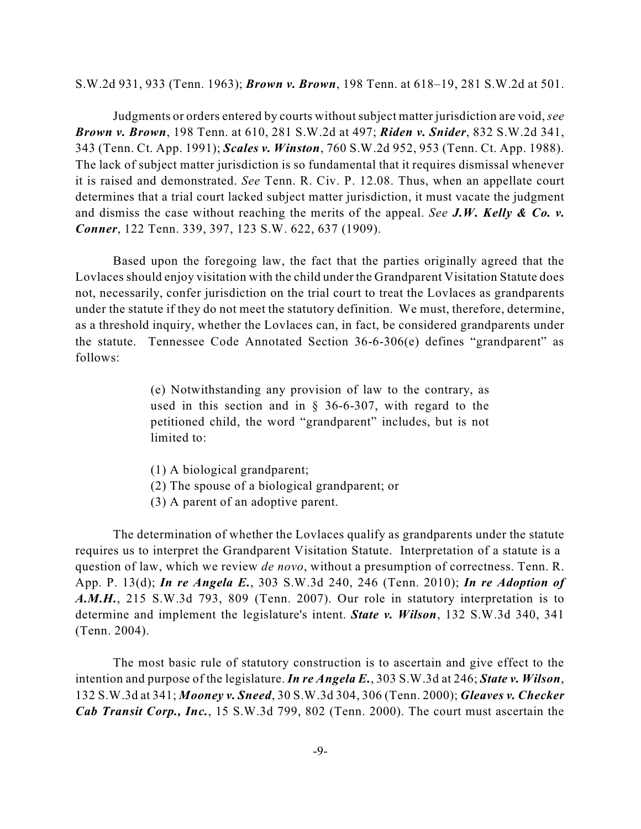S.W.2d 931, 933 (Tenn. 1963); *Brown v. Brown*, 198 Tenn. at 618–19, 281 S.W.2d at 501.

Judgments or orders entered by courts withoutsubject matter jurisdiction are void,*see Brown v. Brown*, 198 Tenn. at 610, 281 S.W.2d at 497; *Riden v. Snider*, 832 S.W.2d 341, 343 (Tenn. Ct. App. 1991); *Scales v. Winston*, 760 S.W.2d 952, 953 (Tenn. Ct. App. 1988). The lack of subject matter jurisdiction is so fundamental that it requires dismissal whenever it is raised and demonstrated. *See* Tenn. R. Civ. P. 12.08. Thus, when an appellate court determines that a trial court lacked subject matter jurisdiction, it must vacate the judgment and dismiss the case without reaching the merits of the appeal. *See J.W. Kelly & Co. v. Conner*, 122 Tenn. 339, 397, 123 S.W. 622, 637 (1909).

Based upon the foregoing law, the fact that the parties originally agreed that the Lovlaces should enjoy visitation with the child under the Grandparent Visitation Statute does not, necessarily, confer jurisdiction on the trial court to treat the Lovlaces as grandparents under the statute if they do not meet the statutory definition. We must, therefore, determine, as a threshold inquiry, whether the Lovlaces can, in fact, be considered grandparents under the statute. Tennessee Code Annotated Section 36-6-306(e) defines "grandparent" as follows:

> (e) Notwithstanding any provision of law to the contrary, as used in this section and in  $\S$  36-6-307, with regard to the petitioned child, the word "grandparent" includes, but is not limited to:

- (1) A biological grandparent;
- (2) The spouse of a biological grandparent; or
- (3) A parent of an adoptive parent.

The determination of whether the Lovlaces qualify as grandparents under the statute requires us to interpret the Grandparent Visitation Statute. Interpretation of a statute is a question of law, which we review *de novo*, without a presumption of correctness. Tenn. R. App. P. 13(d); *In re Angela E.*, 303 S.W.3d 240, 246 (Tenn. 2010); *In re Adoption of A.M.H.*, 215 S.W.3d 793, 809 (Tenn. 2007). Our role in statutory interpretation is to determine and implement the legislature's intent. *State v. Wilson*, 132 S.W.3d 340, 341 (Tenn. 2004).

The most basic rule of statutory construction is to ascertain and give effect to the intention and purpose of the legislature. *In re Angela E.*, 303 S.W.3d at 246; *State v. Wilson*, 132 S.W.3d at 341; *Mooney v. Sneed*, 30 S.W.3d 304, 306 (Tenn. 2000); *Gleaves v. Checker Cab Transit Corp., Inc.*, 15 S.W.3d 799, 802 (Tenn. 2000). The court must ascertain the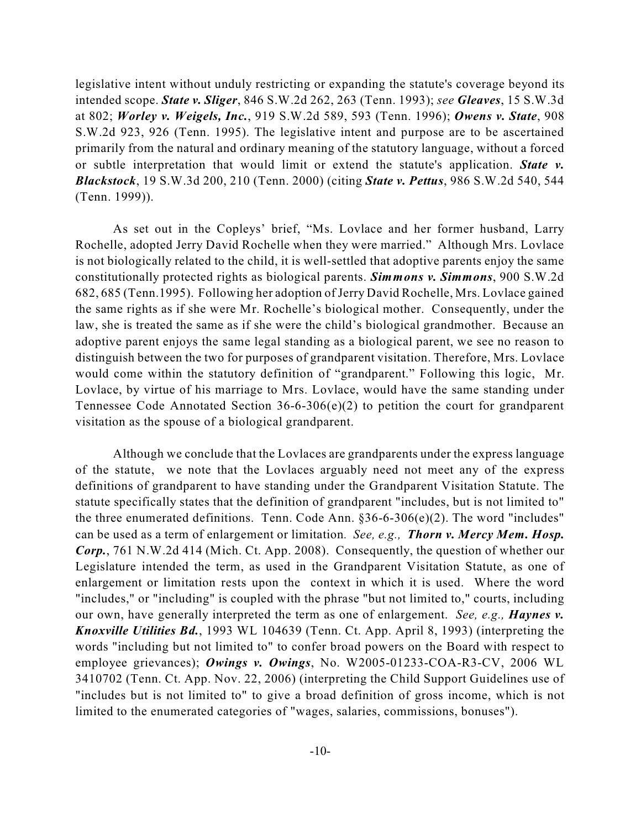legislative intent without unduly restricting or expanding the statute's coverage beyond its intended scope. *State v. Sliger*, 846 S.W.2d 262, 263 (Tenn. 1993); *see Gleaves*, 15 S.W.3d at 802; *Worley v. Weigels, Inc.*, 919 S.W.2d 589, 593 (Tenn. 1996); *Owens v. State*, 908 S.W.2d 923, 926 (Tenn. 1995). The legislative intent and purpose are to be ascertained primarily from the natural and ordinary meaning of the statutory language, without a forced or subtle interpretation that would limit or extend the statute's application. *State v. Blackstock*, 19 S.W.3d 200, 210 (Tenn. 2000) (citing *State v. Pettus*, 986 S.W.2d 540, 544 (Tenn. 1999)).

As set out in the Copleys' brief, "Ms. Lovlace and her former husband, Larry Rochelle, adopted Jerry David Rochelle when they were married." Although Mrs. Lovlace is not biologically related to the child, it is well-settled that adoptive parents enjoy the same constitutionally protected rights as biological parents. *Simmons v. Simmons*, 900 S.W.2d 682, 685 (Tenn.1995). Following her adoption of Jerry David Rochelle, Mrs. Lovlace gained the same rights as if she were Mr. Rochelle's biological mother. Consequently, under the law, she is treated the same as if she were the child's biological grandmother. Because an adoptive parent enjoys the same legal standing as a biological parent, we see no reason to distinguish between the two for purposes of grandparent visitation. Therefore, Mrs. Lovlace would come within the statutory definition of "grandparent." Following this logic, Mr. Lovlace, by virtue of his marriage to Mrs. Lovlace, would have the same standing under Tennessee Code Annotated Section 36-6-306(e)(2) to petition the court for grandparent visitation as the spouse of a biological grandparent.

Although we conclude that the Lovlaces are grandparents under the express language of the statute, we note that the Lovlaces arguably need not meet any of the express definitions of grandparent to have standing under the Grandparent Visitation Statute. The statute specifically states that the definition of grandparent "includes, but is not limited to" the three enumerated definitions. Tenn. Code Ann. §36-6-306(e)(2). The word "includes" can be used as a term of enlargement or limitation*. See, e.g., Thorn v. Mercy Mem. Hosp. Corp.*, 761 N.W.2d 414 (Mich. Ct. App. 2008). Consequently, the question of whether our Legislature intended the term, as used in the Grandparent Visitation Statute, as one of enlargement or limitation rests upon the context in which it is used. Where the word "includes," or "including" is coupled with the phrase "but not limited to," courts, including our own, have generally interpreted the term as one of enlargement. *See, e.g., Haynes v. Knoxville Utilities Bd.*, 1993 WL 104639 (Tenn. Ct. App. April 8, 1993) (interpreting the words "including but not limited to" to confer broad powers on the Board with respect to employee grievances); *Owings v. Owings*, No. W2005-01233-COA-R3-CV, 2006 WL 3410702 (Tenn. Ct. App. Nov. 22, 2006) (interpreting the Child Support Guidelines use of "includes but is not limited to" to give a broad definition of gross income, which is not limited to the enumerated categories of "wages, salaries, commissions, bonuses").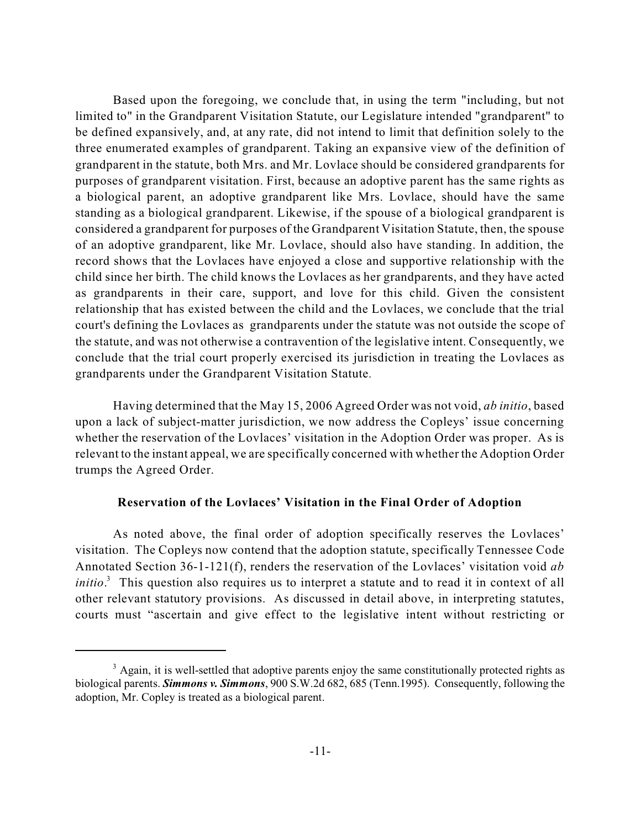Based upon the foregoing, we conclude that, in using the term "including, but not limited to" in the Grandparent Visitation Statute, our Legislature intended "grandparent" to be defined expansively, and, at any rate, did not intend to limit that definition solely to the three enumerated examples of grandparent. Taking an expansive view of the definition of grandparent in the statute, both Mrs. and Mr. Lovlace should be considered grandparents for purposes of grandparent visitation. First, because an adoptive parent has the same rights as a biological parent, an adoptive grandparent like Mrs. Lovlace, should have the same standing as a biological grandparent. Likewise, if the spouse of a biological grandparent is considered a grandparent for purposes of the Grandparent Visitation Statute, then, the spouse of an adoptive grandparent, like Mr. Lovlace, should also have standing. In addition, the record shows that the Lovlaces have enjoyed a close and supportive relationship with the child since her birth. The child knows the Lovlaces as her grandparents, and they have acted as grandparents in their care, support, and love for this child. Given the consistent relationship that has existed between the child and the Lovlaces, we conclude that the trial court's defining the Lovlaces as grandparents under the statute was not outside the scope of the statute, and was not otherwise a contravention of the legislative intent. Consequently, we conclude that the trial court properly exercised its jurisdiction in treating the Lovlaces as grandparents under the Grandparent Visitation Statute.

Having determined that the May 15, 2006 Agreed Order was not void, *ab initio*, based upon a lack of subject-matter jurisdiction, we now address the Copleys' issue concerning whether the reservation of the Lovlaces' visitation in the Adoption Order was proper. As is relevant to the instant appeal, we are specifically concerned with whether the Adoption Order trumps the Agreed Order.

## **Reservation of the Lovlaces' Visitation in the Final Order of Adoption**

As noted above, the final order of adoption specifically reserves the Lovlaces' visitation. The Copleys now contend that the adoption statute, specifically Tennessee Code Annotated Section 36-1-121(f), renders the reservation of the Lovlaces' visitation void *ab* initio.<sup>3</sup> This question also requires us to interpret a statute and to read it in context of all other relevant statutory provisions. As discussed in detail above, in interpreting statutes, courts must "ascertain and give effect to the legislative intent without restricting or

<sup>&</sup>lt;sup>3</sup> Again, it is well-settled that adoptive parents enjoy the same constitutionally protected rights as biological parents. *Simmons v. Simmons*, 900 S.W.2d 682, 685 (Tenn.1995). Consequently, following the adoption, Mr. Copley is treated as a biological parent.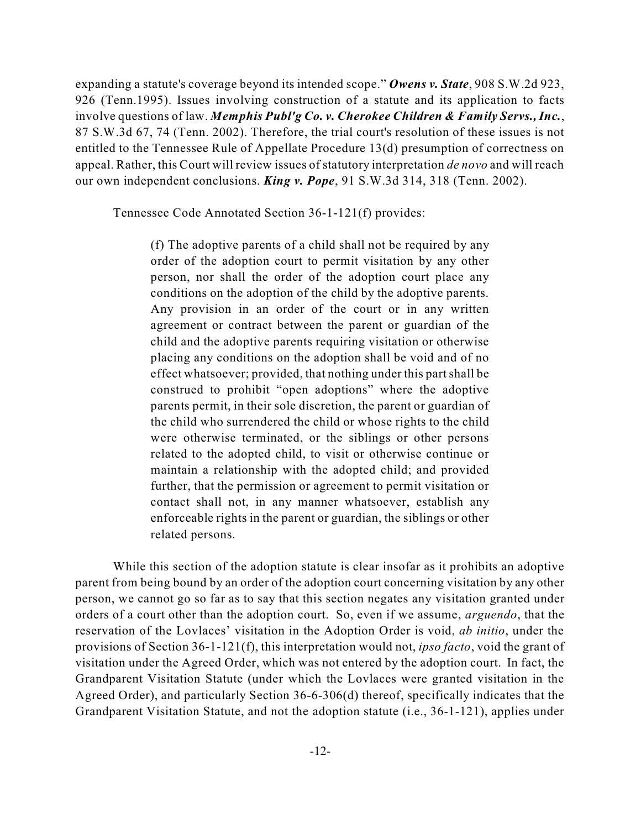expanding a statute's coverage beyond its intended scope." *Owens v. State*, 908 S.W.2d 923, 926 (Tenn.1995). Issues involving construction of a statute and its application to facts involve questions of law. *Memphis Publ'g Co. v. Cherokee Children & Family Servs.,Inc.*, 87 S.W.3d 67, 74 (Tenn. 2002). Therefore, the trial court's resolution of these issues is not entitled to the Tennessee Rule of Appellate Procedure 13(d) presumption of correctness on appeal. Rather, this Court will review issues of statutory interpretation *de novo* and will reach our own independent conclusions. *King v. Pope*, 91 S.W.3d 314, 318 (Tenn. 2002).

Tennessee Code Annotated Section 36-1-121(f) provides:

(f) The adoptive parents of a child shall not be required by any order of the adoption court to permit visitation by any other person, nor shall the order of the adoption court place any conditions on the adoption of the child by the adoptive parents. Any provision in an order of the court or in any written agreement or contract between the parent or guardian of the child and the adoptive parents requiring visitation or otherwise placing any conditions on the adoption shall be void and of no effect whatsoever; provided, that nothing under this partshall be construed to prohibit "open adoptions" where the adoptive parents permit, in their sole discretion, the parent or guardian of the child who surrendered the child or whose rights to the child were otherwise terminated, or the siblings or other persons related to the adopted child, to visit or otherwise continue or maintain a relationship with the adopted child; and provided further, that the permission or agreement to permit visitation or contact shall not, in any manner whatsoever, establish any enforceable rights in the parent or guardian, the siblings or other related persons.

While this section of the adoption statute is clear insofar as it prohibits an adoptive parent from being bound by an order of the adoption court concerning visitation by any other person, we cannot go so far as to say that this section negates any visitation granted under orders of a court other than the adoption court. So, even if we assume, *arguendo*, that the reservation of the Lovlaces' visitation in the Adoption Order is void, *ab initio*, under the provisions of Section 36-1-121(f), this interpretation would not, *ipso facto*, void the grant of visitation under the Agreed Order, which was not entered by the adoption court. In fact, the Grandparent Visitation Statute (under which the Lovlaces were granted visitation in the Agreed Order), and particularly Section 36-6-306(d) thereof, specifically indicates that the Grandparent Visitation Statute, and not the adoption statute (i.e., 36-1-121), applies under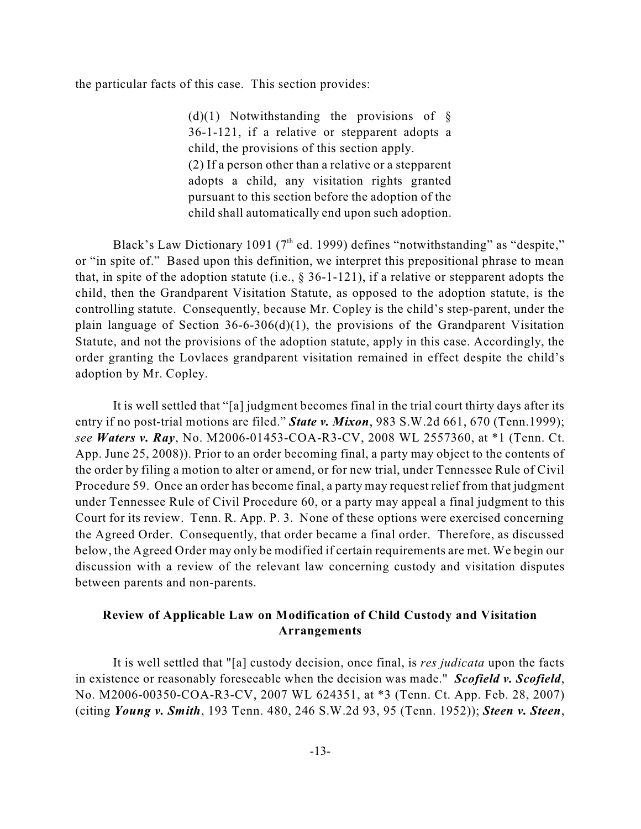the particular facts of this case. This section provides:

(d)(1) Notwithstanding the provisions of  $\S$ 36-1-121, if a relative or stepparent adopts a child, the provisions of this section apply. (2) If a person other than a relative or a stepparent adopts a child, any visitation rights granted pursuant to this section before the adoption of the child shall automatically end upon such adoption.

Black's Law Dictionary 1091 ( $7<sup>th</sup>$  ed. 1999) defines "notwithstanding" as "despite," or "in spite of." Based upon this definition, we interpret this prepositional phrase to mean that, in spite of the adoption statute (i.e., § 36-1-121), if a relative or stepparent adopts the child, then the Grandparent Visitation Statute, as opposed to the adoption statute, is the controlling statute. Consequently, because Mr. Copley is the child's step-parent, under the plain language of Section  $36-6-306(d)(1)$ , the provisions of the Grandparent Visitation Statute, and not the provisions of the adoption statute, apply in this case. Accordingly, the order granting the Lovlaces grandparent visitation remained in effect despite the child's adoption by Mr. Copley.

It is well settled that "[a] judgment becomes final in the trial court thirty days after its entry if no post-trial motions are filed." *State v. Mixon*, 983 S.W.2d 661, 670 (Tenn.1999); *see Waters v. Ray*, No. M2006-01453-COA-R3-CV, 2008 WL 2557360, at \*1 (Tenn. Ct. App. June 25, 2008)). Prior to an order becoming final, a party may object to the contents of the order by filing a motion to alter or amend, or for new trial, under Tennessee Rule of Civil Procedure 59. Once an order has become final, a party may request relief from that judgment under Tennessee Rule of Civil Procedure 60, or a party may appeal a final judgment to this Court for its review. Tenn. R. App. P. 3. None of these options were exercised concerning the Agreed Order. Consequently, that order became a final order. Therefore, as discussed below, the Agreed Order may only be modified if certain requirements are met. We begin our discussion with a review of the relevant law concerning custody and visitation disputes between parents and non-parents.

## **Review of Applicable Law on Modification of Child Custody and Visitation Arrangements**

It is well settled that "[a] custody decision, once final, is *res judicata* upon the facts in existence or reasonably foreseeable when the decision was made." *Scofield v. Scofield*, No. M2006-00350-COA-R3-CV, 2007 WL 624351, at \*3 (Tenn. Ct. App. Feb. 28, 2007) (citing *Young v. Smith*, 193 Tenn. 480, 246 S.W.2d 93, 95 (Tenn. 1952)); *Steen v. Steen*,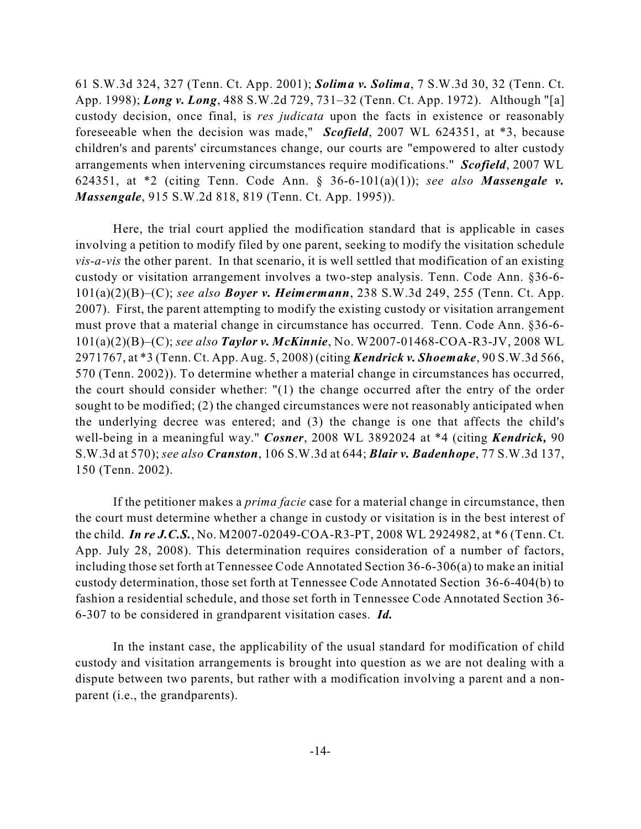61 S.W.3d 324, 327 (Tenn. Ct. App. 2001); *Solima v. Solima*, 7 S.W.3d 30, 32 (Tenn. Ct. App. 1998); *Long v. Long*, 488 S.W.2d 729, 731–32 (Tenn. Ct. App. 1972). Although "[a] custody decision, once final, is *res judicata* upon the facts in existence or reasonably foreseeable when the decision was made," *Scofield*, 2007 WL 624351, at \*3, because children's and parents' circumstances change, our courts are "empowered to alter custody arrangements when intervening circumstances require modifications." *Scofield*, 2007 WL 624351, at \*2 (citing Tenn. Code Ann. § 36-6-101(a)(1)); *see also Massengale v. Massengale*, 915 S.W.2d 818, 819 (Tenn. Ct. App. 1995)).

Here, the trial court applied the modification standard that is applicable in cases involving a petition to modify filed by one parent, seeking to modify the visitation schedule *vis-a-vis* the other parent. In that scenario, it is well settled that modification of an existing custody or visitation arrangement involves a two-step analysis. Tenn. Code Ann. §36-6- 101(a)(2)(B)–(C); *see also Boyer v. Heimermann*, 238 S.W.3d 249, 255 (Tenn. Ct. App. 2007). First, the parent attempting to modify the existing custody or visitation arrangement must prove that a material change in circumstance has occurred. Tenn. Code Ann. §36-6- 101(a)(2)(B)–(C); *see also Taylor v. McKinnie*, No. W2007-01468-COA-R3-JV, 2008 WL 2971767, at \*3 (Tenn. Ct. App. Aug. 5, 2008) (citing *Kendrick v. Shoemake*, 90 S.W.3d 566, 570 (Tenn. 2002)). To determine whether a material change in circumstances has occurred, the court should consider whether: "(1) the change occurred after the entry of the order sought to be modified; (2) the changed circumstances were not reasonably anticipated when the underlying decree was entered; and (3) the change is one that affects the child's well-being in a meaningful way." *Cosner*, 2008 WL 3892024 at \*4 (citing *Kendrick,* 90 S.W.3d at 570); *see also Cranston*, 106 S.W.3d at 644; *Blair v. Badenhope*, 77 S.W.3d 137, 150 (Tenn. 2002).

If the petitioner makes a *prima facie* case for a material change in circumstance, then the court must determine whether a change in custody or visitation is in the best interest of the child. *In re J.C.S.*, No. M2007-02049-COA-R3-PT, 2008 WL 2924982, at \*6 (Tenn. Ct. App. July 28, 2008). This determination requires consideration of a number of factors, including those set forth at Tennessee Code Annotated Section 36-6-306(a) to make an initial custody determination, those set forth at Tennessee Code Annotated Section 36-6-404(b) to fashion a residential schedule, and those set forth in Tennessee Code Annotated Section 36- 6-307 to be considered in grandparent visitation cases. *Id.*

In the instant case, the applicability of the usual standard for modification of child custody and visitation arrangements is brought into question as we are not dealing with a dispute between two parents, but rather with a modification involving a parent and a nonparent (i.e., the grandparents).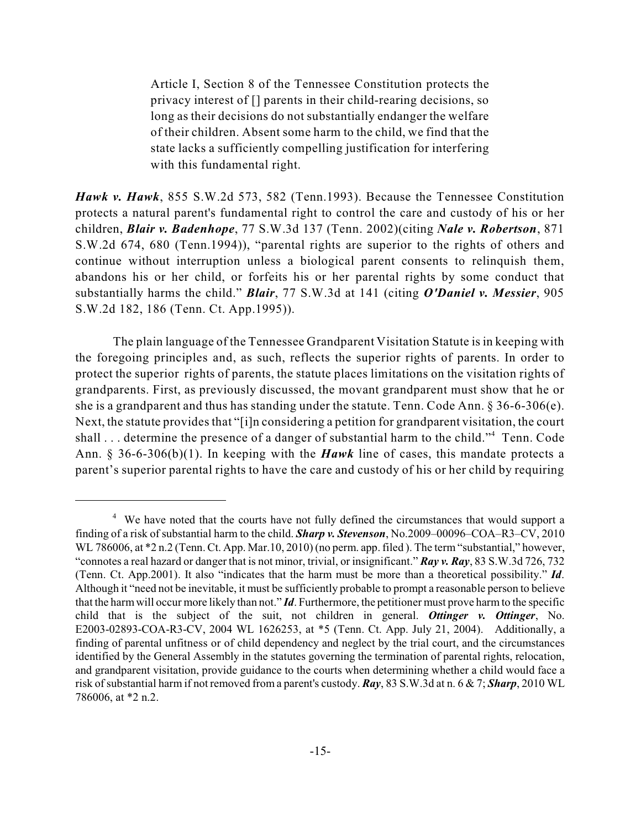Article I, Section 8 of the Tennessee Constitution protects the privacy interest of [] parents in their child-rearing decisions, so long as their decisions do not substantially endanger the welfare of their children. Absent some harm to the child, we find that the state lacks a sufficiently compelling justification for interfering with this fundamental right.

*Hawk v. Hawk*, 855 S.W.2d 573, 582 (Tenn.1993). Because the Tennessee Constitution protects a natural parent's fundamental right to control the care and custody of his or her children, *Blair v. Badenhope*, 77 S.W.3d 137 (Tenn. 2002)(citing *Nale v. Robertson*, 871 S.W.2d 674, 680 (Tenn.1994)), "parental rights are superior to the rights of others and continue without interruption unless a biological parent consents to relinquish them, abandons his or her child, or forfeits his or her parental rights by some conduct that substantially harms the child." *Blair*, 77 S.W.3d at 141 (citing *O'Daniel v. Messier*, 905 S.W.2d 182, 186 (Tenn. Ct. App.1995)).

The plain language of the Tennessee Grandparent Visitation Statute is in keeping with the foregoing principles and, as such, reflects the superior rights of parents. In order to protect the superior rights of parents, the statute places limitations on the visitation rights of grandparents. First, as previously discussed, the movant grandparent must show that he or she is a grandparent and thus has standing under the statute. Tenn. Code Ann. § 36-6-306(e). Next, the statute provides that "[i]n considering a petition for grandparent visitation, the court shall ... determine the presence of a danger of substantial harm to the child."<sup>4</sup> Tenn. Code Ann. § 36-6-306(b)(1). In keeping with the *Hawk* line of cases, this mandate protects a parent's superior parental rights to have the care and custody of his or her child by requiring

<sup>&</sup>lt;sup>4</sup> We have noted that the courts have not fully defined the circumstances that would support a finding of a risk of substantial harm to the child. *Sharp v. Stevenson*, No.2009–00096–COA–R3–CV, 2010 WL 786006, at \*2 n.2 (Tenn. Ct. App. Mar. 10, 2010) (no perm. app. filed ). The term "substantial," however, "connotes a real hazard or danger that is not minor, trivial, or insignificant." *Ray v. Ray*, 83 S.W.3d 726, 732 (Tenn. Ct. App.2001). It also "indicates that the harm must be more than a theoretical possibility." *Id*. Although it "need not be inevitable, it must be sufficiently probable to prompt a reasonable person to believe that the harmwill occur more likely than not." *Id*. Furthermore, the petitioner must prove harmto the specific child that is the subject of the suit, not children in general. *Ottinger v. Ottinger*, No. E2003-02893-COA-R3-CV, 2004 WL 1626253, at \*5 (Tenn. Ct. App. July 21, 2004). Additionally, a finding of parental unfitness or of child dependency and neglect by the trial court, and the circumstances identified by the General Assembly in the statutes governing the termination of parental rights, relocation, and grandparent visitation, provide guidance to the courts when determining whether a child would face a risk of substantial harm if not removed from a parent's custody. *Ray*, 83 S.W.3d at n. 6 & 7; *Sharp*, 2010 WL 786006, at \*2 n.2.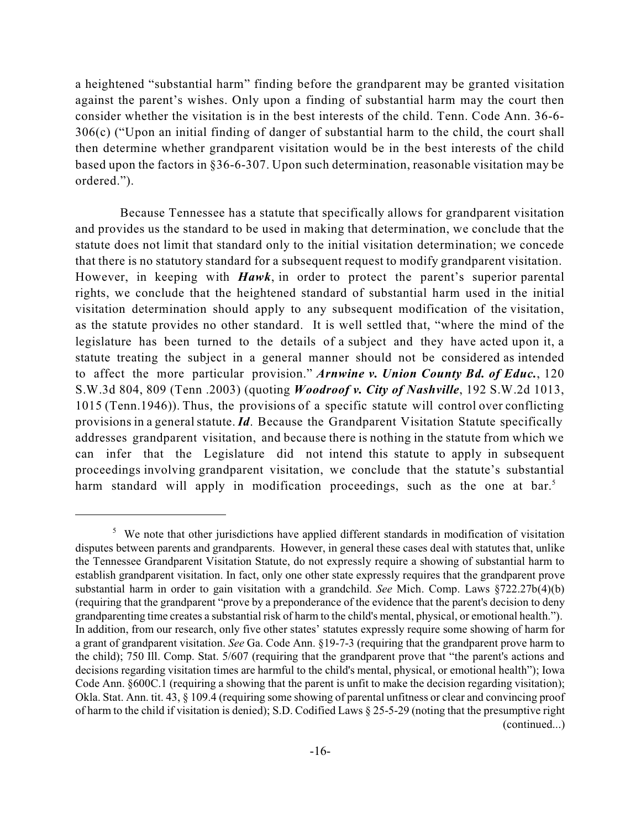a heightened "substantial harm" finding before the grandparent may be granted visitation against the parent's wishes. Only upon a finding of substantial harm may the court then consider whether the visitation is in the best interests of the child. Tenn. Code Ann. 36-6- 306(c) ("Upon an initial finding of danger of substantial harm to the child, the court shall then determine whether grandparent visitation would be in the best interests of the child based upon the factors in §36-6-307. Upon such determination, reasonable visitation may be ordered.").

Because Tennessee has a statute that specifically allows for grandparent visitation and provides us the standard to be used in making that determination, we conclude that the statute does not limit that standard only to the initial visitation determination; we concede that there is no statutory standard for a subsequent request to modify grandparent visitation. However, in keeping with *Hawk*, in order to protect the parent's superior parental rights, we conclude that the heightened standard of substantial harm used in the initial visitation determination should apply to any subsequent modification of the visitation, as the statute provides no other standard. It is well settled that, "where the mind of the legislature has been turned to the details of a subject and they have acted upon it, a statute treating the subject in a general manner should not be considered as intended to affect the more particular provision." *Arnwine v. Union County Bd. of Educ.*, 120 S.W.3d 804, 809 (Tenn .2003) (quoting *Woodroof v. City of Nashville*, 192 S.W.2d 1013, 1015 (Tenn.1946)). Thus, the provisions of a specific statute will control over conflicting provisions in a generalstatute. *Id*. Because the Grandparent Visitation Statute specifically addresses grandparent visitation, and because there is nothing in the statute from which we can infer that the Legislature did not intend this statute to apply in subsequent proceedings involving grandparent visitation, we conclude that the statute's substantial harm standard will apply in modification proceedings, such as the one at bar.<sup>5</sup>

 $5\text{ }$  We note that other jurisdictions have applied different standards in modification of visitation disputes between parents and grandparents. However, in general these cases deal with statutes that, unlike the Tennessee Grandparent Visitation Statute, do not expressly require a showing of substantial harm to establish grandparent visitation. In fact, only one other state expressly requires that the grandparent prove substantial harm in order to gain visitation with a grandchild. *See* Mich. Comp. Laws §722.27b(4)(b) (requiring that the grandparent "prove by a preponderance of the evidence that the parent's decision to deny grandparenting time creates a substantial risk of harm to the child's mental, physical, or emotional health."). In addition, from our research, only five other states' statutes expressly require some showing of harm for a grant of grandparent visitation. *See* Ga. Code Ann. §19-7-3 (requiring that the grandparent prove harm to the child); 750 Ill. Comp. Stat. 5/607 (requiring that the grandparent prove that "the parent's actions and decisions regarding visitation times are harmful to the child's mental, physical, or emotional health"); Iowa Code Ann. §600C.1 (requiring a showing that the parent is unfit to make the decision regarding visitation); Okla. Stat. Ann. tit. 43, § 109.4 (requiring some showing of parental unfitness or clear and convincing proof of harm to the child if visitation is denied); S.D. Codified Laws § 25-5-29 (noting that the presumptive right (continued...)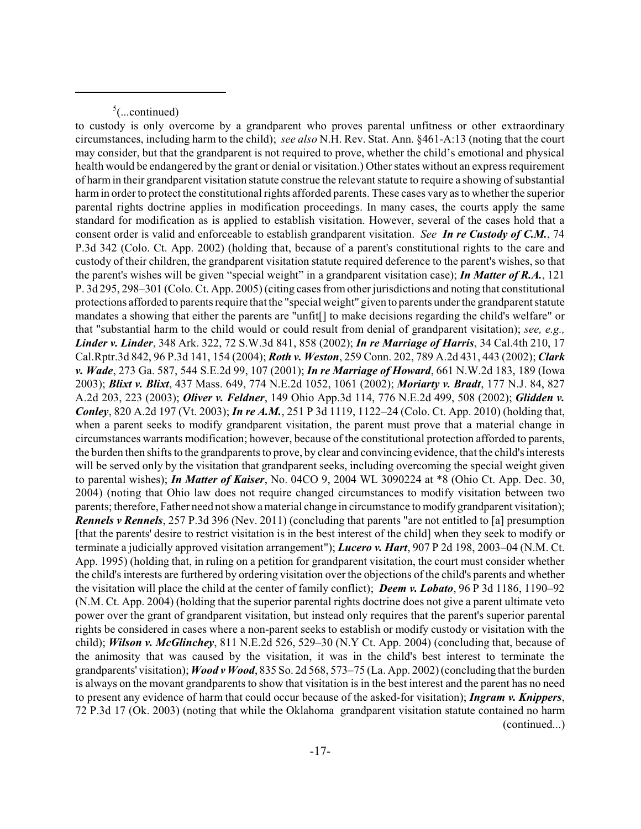$5$ (...continued)

to custody is only overcome by a grandparent who proves parental unfitness or other extraordinary circumstances, including harm to the child); *see also* N.H. Rev. Stat. Ann. §461-A:13 (noting that the court may consider, but that the grandparent is not required to prove, whether the child's emotional and physical health would be endangered by the grant or denial or visitation.) Other states without an express requirement of harmin their grandparent visitation statute construe the relevant statute to require a showing of substantial harm in order to protect the constitutional rights afforded parents. These cases vary as to whether the superior parental rights doctrine applies in modification proceedings. In many cases, the courts apply the same standard for modification as is applied to establish visitation. However, several of the cases hold that a consent order is valid and enforceable to establish grandparent visitation. *See In re Custody of C.M.*, 74 P.3d 342 (Colo. Ct. App. 2002) (holding that, because of a parent's constitutional rights to the care and custody of their children, the grandparent visitation statute required deference to the parent's wishes, so that the parent's wishes will be given "special weight" in a grandparent visitation case); *In Matter of R.A.*, 121 P. 3d 295, 298–301 (Colo. Ct. App. 2005) (citing cases fromother jurisdictions and noting that constitutional protections afforded to parents require that the "special weight" given to parents under the grandparentstatute mandates a showing that either the parents are "unfit[] to make decisions regarding the child's welfare" or that "substantial harm to the child would or could result from denial of grandparent visitation); *see, e.g., Linder v. Linder*, 348 Ark. 322, 72 S.W.3d 841, 858 (2002); *In re Marriage of Harris*, 34 Cal.4th 210, 17 Cal.Rptr.3d 842, 96 P.3d 141, 154 (2004); *Roth v. Weston*, 259 Conn. 202, 789 A.2d 431, 443 (2002); *Clark v. Wade*, 273 Ga. 587, 544 S.E.2d 99, 107 (2001); *In re Marriage of Howard*, 661 N.W.2d 183, 189 (Iowa 2003); *Blixt v. Blixt*, 437 Mass. 649, 774 N.E.2d 1052, 1061 (2002); *Moriarty v. Bradt*, 177 N.J. 84, 827 A.2d 203, 223 (2003); *Oliver v. Feldner*, 149 Ohio App.3d 114, 776 N.E.2d 499, 508 (2002); *Glidden v. Conley*, 820 A.2d 197 (Vt. 2003); *In re A.M.*, 251 P 3d 1119, 1122–24 (Colo. Ct. App. 2010) (holding that, when a parent seeks to modify grandparent visitation, the parent must prove that a material change in circumstances warrants modification; however, because of the constitutional protection afforded to parents, the burden then shifts to the grandparents to prove, by clear and convincing evidence, that the child's interests will be served only by the visitation that grandparent seeks, including overcoming the special weight given to parental wishes); *In Matter of Kaiser*, No. 04CO 9, 2004 WL 3090224 at \*8 (Ohio Ct. App. Dec. 30, 2004) (noting that Ohio law does not require changed circumstances to modify visitation between two parents; therefore, Father need not show a material change in circumstance to modify grandparent visitation); *Rennels v Rennels*, 257 P.3d 396 (Nev. 2011) (concluding that parents "are not entitled to [a] presumption [that the parents' desire to restrict visitation is in the best interest of the child] when they seek to modify or terminate a judicially approved visitation arrangement"); *Lucero v. Hart*, 907 P 2d 198, 2003–04 (N.M. Ct. App. 1995) (holding that, in ruling on a petition for grandparent visitation, the court must consider whether the child's interests are furthered by ordering visitation over the objections of the child's parents and whether the visitation will place the child at the center of family conflict); *Deem v. Lobato*, 96 P 3d 1186, 1190–92 (N.M. Ct. App. 2004) (holding that the superior parental rights doctrine does not give a parent ultimate veto power over the grant of grandparent visitation, but instead only requires that the parent's superior parental rights be considered in cases where a non-parent seeks to establish or modify custody or visitation with the child); *Wilson v. McGlinchey*, 811 N.E.2d 526, 529–30 (N.Y Ct. App. 2004) (concluding that, because of the animosity that was caused by the visitation, it was in the child's best interest to terminate the grandparents' visitation); *Wood v Wood*, 835 So. 2d 568, 573–75 (La. App. 2002) (concluding that the burden is always on the movant grandparents to show that visitation is in the best interest and the parent has no need to present any evidence of harm that could occur because of the asked-for visitation); *Ingram v. Knippers*, 72 P.3d 17 (Ok. 2003) (noting that while the Oklahoma grandparent visitation statute contained no harm (continued...)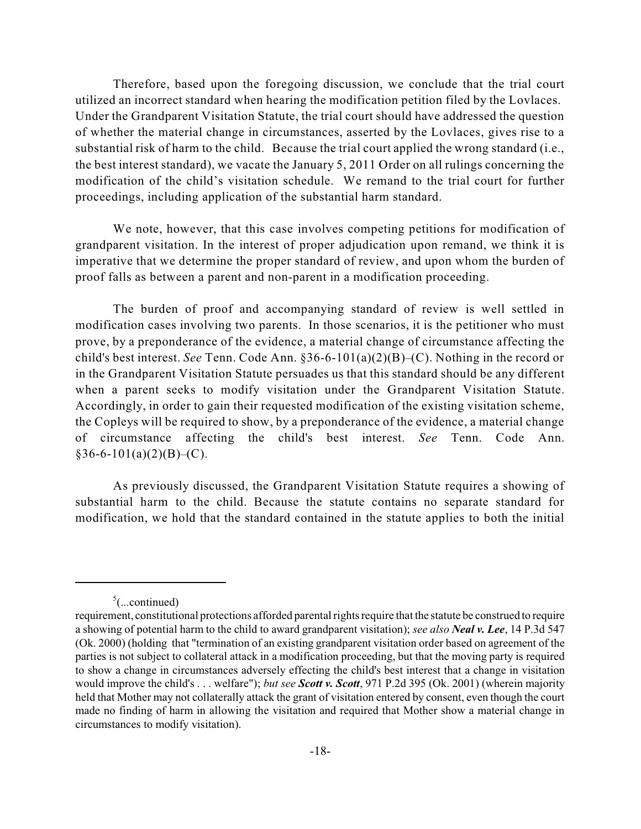Therefore, based upon the foregoing discussion, we conclude that the trial court utilized an incorrect standard when hearing the modification petition filed by the Lovlaces. Under the Grandparent Visitation Statute, the trial court should have addressed the question of whether the material change in circumstances, asserted by the Lovlaces, gives rise to a substantial risk of harm to the child. Because the trial court applied the wrong standard (i.e., the best interest standard), we vacate the January 5, 2011 Order on all rulings concerning the modification of the child's visitation schedule. We remand to the trial court for further proceedings, including application of the substantial harm standard.

We note, however, that this case involves competing petitions for modification of grandparent visitation. In the interest of proper adjudication upon remand, we think it is imperative that we determine the proper standard of review, and upon whom the burden of proof falls as between a parent and non-parent in a modification proceeding.

The burden of proof and accompanying standard of review is well settled in modification cases involving two parents. In those scenarios, it is the petitioner who must prove, by a preponderance of the evidence, a material change of circumstance affecting the child's best interest. *See* Tenn. Code Ann. §36-6-101(a)(2)(B)–(C). Nothing in the record or in the Grandparent Visitation Statute persuades us that this standard should be any different when a parent seeks to modify visitation under the Grandparent Visitation Statute. Accordingly, in order to gain their requested modification of the existing visitation scheme, the Copleys will be required to show, by a preponderance of the evidence, a material change of circumstance affecting the child's best interest. *See* Tenn. Code Ann.  $§36-6-101(a)(2)(B)-(C).$ 

As previously discussed, the Grandparent Visitation Statute requires a showing of substantial harm to the child. Because the statute contains no separate standard for modification, we hold that the standard contained in the statute applies to both the initial

 $5$ (...continued)

requirement, constitutional protections afforded parental rights require that the statute be construed to require a showing of potential harm to the child to award grandparent visitation); *see also Neal v. Lee*, 14 P.3d 547 (Ok. 2000) (holding that "termination of an existing grandparent visitation order based on agreement of the parties is not subject to collateral attack in a modification proceeding, but that the moving party is required to show a change in circumstances adversely effecting the child's best interest that a change in visitation would improve the child's . . . welfare"); *but see Scott v. Scott*, 971 P.2d 395 (Ok. 2001) (wherein majority held that Mother may not collaterally attack the grant of visitation entered by consent, even though the court made no finding of harm in allowing the visitation and required that Mother show a material change in circumstances to modify visitation).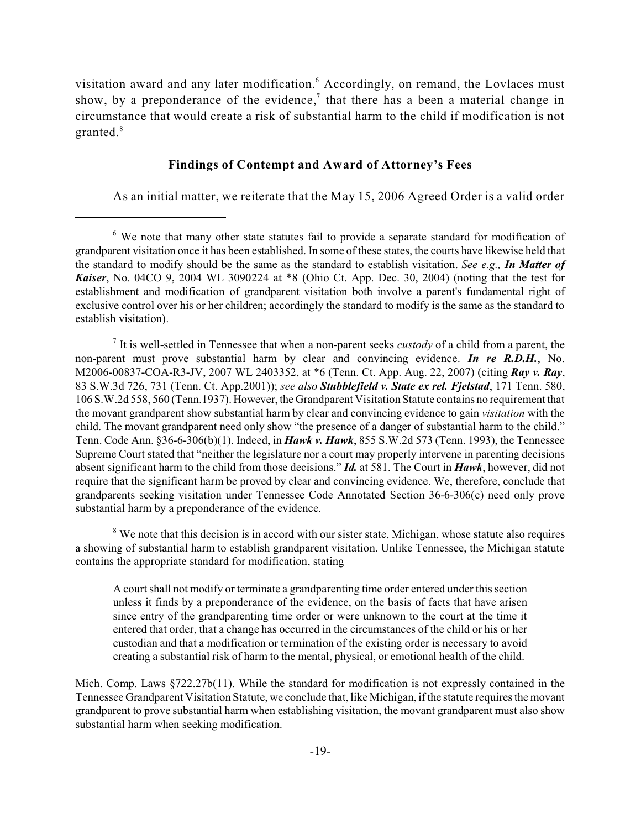visitation award and any later modification.<sup>6</sup> Accordingly, on remand, the Lovlaces must show, by a preponderance of the evidence,<sup>7</sup> that there has a been a material change in circumstance that would create a risk of substantial harm to the child if modification is not granted.<sup>8</sup>

### **Findings of Contempt and Award of Attorney's Fees**

As an initial matter, we reiterate that the May 15, 2006 Agreed Order is a valid order

It is well-settled in Tennessee that when a non-parent seeks *custody* of a child from a parent, the non-parent must prove substantial harm by clear and convincing evidence. *In re R.D.H.*, No. M2006-00837-COA-R3-JV, 2007 WL 2403352, at \*6 (Tenn. Ct. App. Aug. 22, 2007) (citing *Ray v. Ray*, 83 S.W.3d 726, 731 (Tenn. Ct. App.2001)); *see also Stubblefield v. State ex rel. Fjelstad*, 171 Tenn. 580, 106 S.W.2d 558, 560 (Tenn.1937). However, the Grandparent Visitation Statute contains no requirement that the movant grandparent show substantial harm by clear and convincing evidence to gain *visitation* with the child. The movant grandparent need only show "the presence of a danger of substantial harm to the child." Tenn. Code Ann. §36-6-306(b)(1). Indeed, in *Hawk v. Hawk*, 855 S.W.2d 573 (Tenn. 1993), the Tennessee Supreme Court stated that "neither the legislature nor a court may properly intervene in parenting decisions absent significant harm to the child from those decisions." *Id.* at 581. The Court in *Hawk*, however, did not require that the significant harm be proved by clear and convincing evidence. We, therefore, conclude that grandparents seeking visitation under Tennessee Code Annotated Section 36-6-306(c) need only prove substantial harm by a preponderance of the evidence.

<sup>8</sup> We note that this decision is in accord with our sister state, Michigan, whose statute also requires a showing of substantial harm to establish grandparent visitation. Unlike Tennessee, the Michigan statute contains the appropriate standard for modification, stating

A court shall not modify or terminate a grandparenting time order entered under this section unless it finds by a preponderance of the evidence, on the basis of facts that have arisen since entry of the grandparenting time order or were unknown to the court at the time it entered that order, that a change has occurred in the circumstances of the child or his or her custodian and that a modification or termination of the existing order is necessary to avoid creating a substantial risk of harm to the mental, physical, or emotional health of the child.

Mich. Comp. Laws §722.27b(11). While the standard for modification is not expressly contained in the Tennessee Grandparent Visitation Statute, we conclude that, like Michigan, ifthe statute requires the movant grandparent to prove substantial harm when establishing visitation, the movant grandparent must also show substantial harm when seeking modification.

 $6\,$  We note that many other state statutes fail to provide a separate standard for modification of grandparent visitation once it has been established. In some of these states, the courts have likewise held that the standard to modify should be the same as the standard to establish visitation. *See e.g., In Matter of Kaiser*, No. 04CO 9, 2004 WL 3090224 at \*8 (Ohio Ct. App. Dec. 30, 2004) (noting that the test for establishment and modification of grandparent visitation both involve a parent's fundamental right of exclusive control over his or her children; accordingly the standard to modify is the same as the standard to establish visitation).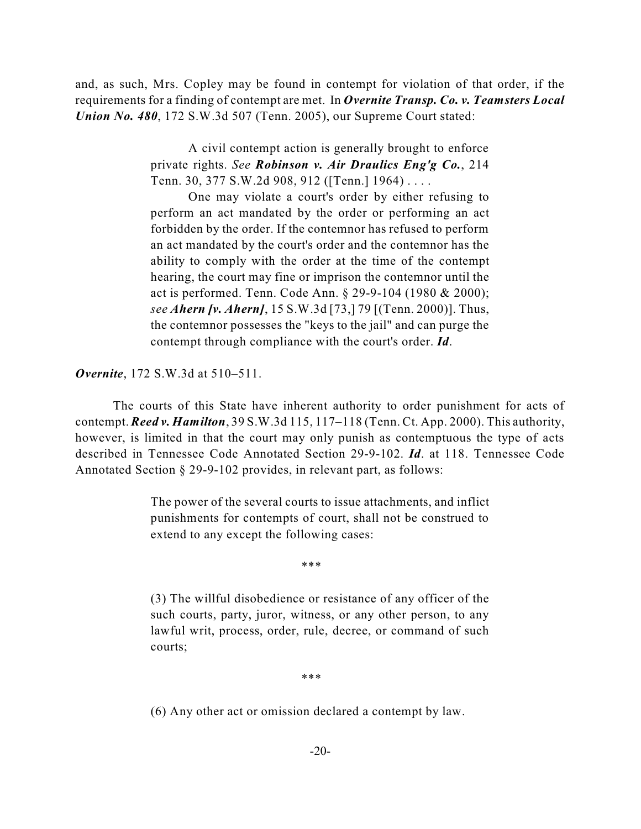and, as such, Mrs. Copley may be found in contempt for violation of that order, if the requirements for a finding of contempt are met. In *Overnite Transp. Co. v. Teamsters Local Union No. 480*, 172 S.W.3d 507 (Tenn. 2005), our Supreme Court stated:

> A civil contempt action is generally brought to enforce private rights. *See Robinson v. Air Draulics Eng'g Co.*, 214 Tenn. 30, 377 S.W.2d 908, 912 ([Tenn.] 1964) . . . .

> One may violate a court's order by either refusing to perform an act mandated by the order or performing an act forbidden by the order. If the contemnor has refused to perform an act mandated by the court's order and the contemnor has the ability to comply with the order at the time of the contempt hearing, the court may fine or imprison the contemnor until the act is performed. Tenn. Code Ann. § 29-9-104 (1980 & 2000); *see Ahern [v. Ahern]*, 15 S.W.3d [73,] 79 [(Tenn. 2000)]. Thus, the contemnor possesses the "keys to the jail" and can purge the contempt through compliance with the court's order. *Id*.

*Overnite*, 172 S.W.3d at 510–511.

The courts of this State have inherent authority to order punishment for acts of contempt. *Reed v. Hamilton*, 39 S.W.3d 115, 117–118 (Tenn. Ct. App. 2000). This authority, however, is limited in that the court may only punish as contemptuous the type of acts described in Tennessee Code Annotated Section 29-9-102. *Id*. at 118. Tennessee Code Annotated Section § 29-9-102 provides, in relevant part, as follows:

> The power of the several courts to issue attachments, and inflict punishments for contempts of court, shall not be construed to extend to any except the following cases:

> > \*\*\*

(3) The willful disobedience or resistance of any officer of the such courts, party, juror, witness, or any other person, to any lawful writ, process, order, rule, decree, or command of such courts;

\*\*\*

(6) Any other act or omission declared a contempt by law.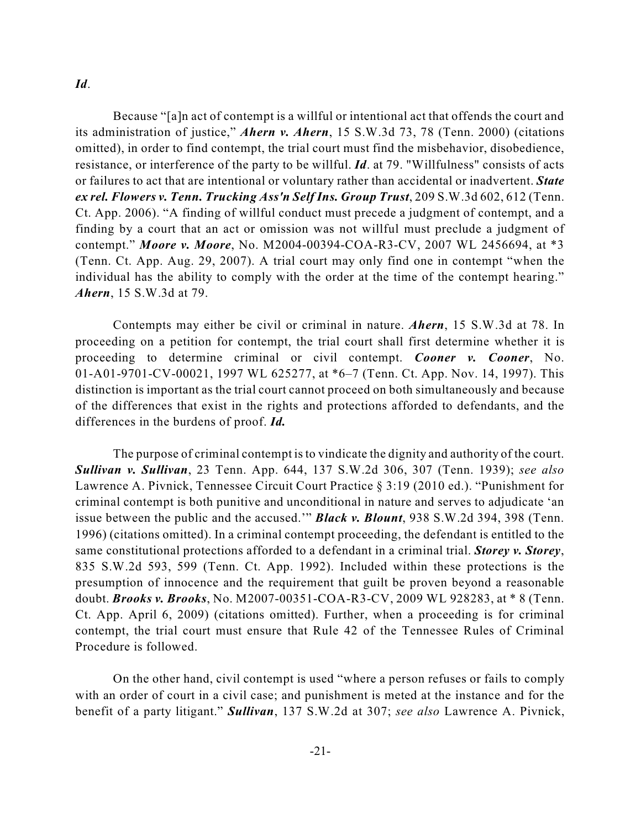### *Id*.

Because "[a]n act of contempt is a willful or intentional act that offends the court and its administration of justice," *Ahern v. Ahern*, 15 S.W.3d 73, 78 (Tenn. 2000) (citations omitted), in order to find contempt, the trial court must find the misbehavior, disobedience, resistance, or interference of the party to be willful. *Id*. at 79. "Willfulness" consists of acts or failures to act that are intentional or voluntary rather than accidental or inadvertent. *State ex rel. Flowers v. Tenn. Trucking Ass'n Self Ins. Group Trust*, 209 S.W.3d 602, 612 (Tenn. Ct. App. 2006). "A finding of willful conduct must precede a judgment of contempt, and a finding by a court that an act or omission was not willful must preclude a judgment of contempt." *Moore v. Moore*, No. M2004-00394-COA-R3-CV, 2007 WL 2456694, at \*3 (Tenn. Ct. App. Aug. 29, 2007). A trial court may only find one in contempt "when the individual has the ability to comply with the order at the time of the contempt hearing." *Ahern*, 15 S.W.3d at 79.

Contempts may either be civil or criminal in nature. *Ahern*, 15 S.W.3d at 78. In proceeding on a petition for contempt, the trial court shall first determine whether it is proceeding to determine criminal or civil contempt. *Cooner v. Cooner*, No. 01-A01-9701-CV-00021, 1997 WL 625277, at \*6–7 (Tenn. Ct. App. Nov. 14, 1997). This distinction is important as the trial court cannot proceed on both simultaneously and because of the differences that exist in the rights and protections afforded to defendants, and the differences in the burdens of proof. *Id.*

The purpose of criminal contempt is to vindicate the dignity and authority of the court. *Sullivan v. Sullivan*, 23 Tenn. App. 644, 137 S.W.2d 306, 307 (Tenn. 1939); *see also* Lawrence A. Pivnick, Tennessee Circuit Court Practice § 3:19 (2010 ed.). "Punishment for criminal contempt is both punitive and unconditional in nature and serves to adjudicate 'an issue between the public and the accused.'" *Black v. Blount*, 938 S.W.2d 394, 398 (Tenn. 1996) (citations omitted). In a criminal contempt proceeding, the defendant is entitled to the same constitutional protections afforded to a defendant in a criminal trial. *Storey v. Storey*, 835 S.W.2d 593, 599 (Tenn. Ct. App. 1992). Included within these protections is the presumption of innocence and the requirement that guilt be proven beyond a reasonable doubt. *Brooks v. Brooks*, No. M2007-00351-COA-R3-CV, 2009 WL 928283, at \* 8 (Tenn. Ct. App. April 6, 2009) (citations omitted). Further, when a proceeding is for criminal contempt, the trial court must ensure that Rule 42 of the Tennessee Rules of Criminal Procedure is followed.

On the other hand, civil contempt is used "where a person refuses or fails to comply with an order of court in a civil case; and punishment is meted at the instance and for the benefit of a party litigant." *Sullivan*, 137 S.W.2d at 307; *see also* Lawrence A. Pivnick,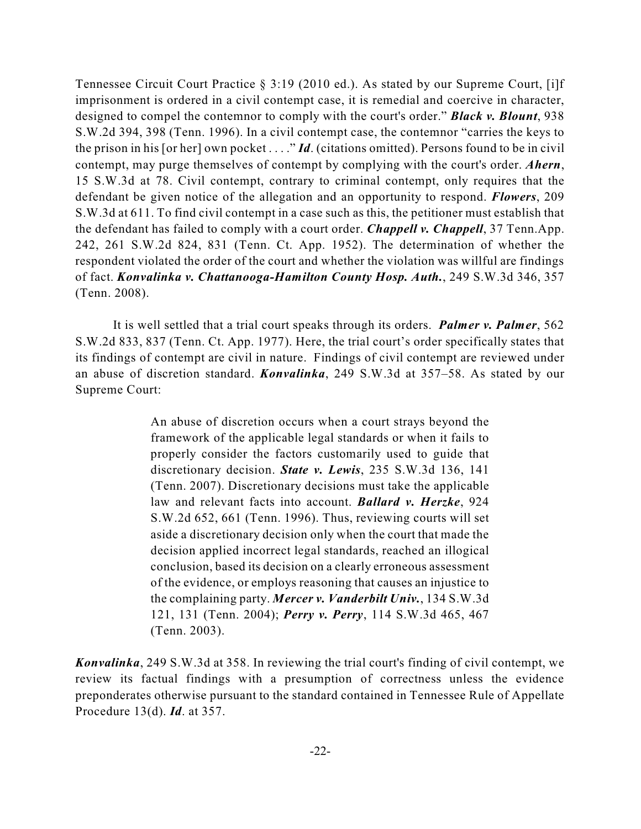Tennessee Circuit Court Practice § 3:19 (2010 ed.). As stated by our Supreme Court, [i]f imprisonment is ordered in a civil contempt case, it is remedial and coercive in character, designed to compel the contemnor to comply with the court's order." *Black v. Blount*, 938 S.W.2d 394, 398 (Tenn. 1996). In a civil contempt case, the contemnor "carries the keys to the prison in his [or her] own pocket . . . ." *Id*. (citations omitted). Persons found to be in civil contempt, may purge themselves of contempt by complying with the court's order. *Ahern*, 15 S.W.3d at 78. Civil contempt, contrary to criminal contempt, only requires that the defendant be given notice of the allegation and an opportunity to respond. *Flowers*, 209 S.W.3d at 611. To find civil contempt in a case such as this, the petitioner must establish that the defendant has failed to comply with a court order. *Chappell v. Chappell*, 37 Tenn.App. 242, 261 S.W.2d 824, 831 (Tenn. Ct. App. 1952). The determination of whether the respondent violated the order of the court and whether the violation was willful are findings of fact. *Konvalinka v. Chattanooga-Hamilton County Hosp. Auth.*, 249 S.W.3d 346, 357 (Tenn. 2008).

It is well settled that a trial court speaks through its orders. *Palmer v. Palmer*, 562 S.W.2d 833, 837 (Tenn. Ct. App. 1977). Here, the trial court's order specifically states that its findings of contempt are civil in nature. Findings of civil contempt are reviewed under an abuse of discretion standard. *Konvalinka*, 249 S.W.3d at 357–58. As stated by our Supreme Court:

> An abuse of discretion occurs when a court strays beyond the framework of the applicable legal standards or when it fails to properly consider the factors customarily used to guide that discretionary decision. *State v. Lewis*, 235 S.W.3d 136, 141 (Tenn. 2007). Discretionary decisions must take the applicable law and relevant facts into account. *Ballard v. Herzke*, 924 S.W.2d 652, 661 (Tenn. 1996). Thus, reviewing courts will set aside a discretionary decision only when the court that made the decision applied incorrect legal standards, reached an illogical conclusion, based its decision on a clearly erroneous assessment of the evidence, or employs reasoning that causes an injustice to the complaining party. *Mercer v. Vanderbilt Univ.*, 134 S.W.3d 121, 131 (Tenn. 2004); *Perry v. Perry*, 114 S.W.3d 465, 467 (Tenn. 2003).

*Konvalinka*, 249 S.W.3d at 358. In reviewing the trial court's finding of civil contempt, we review its factual findings with a presumption of correctness unless the evidence preponderates otherwise pursuant to the standard contained in Tennessee Rule of Appellate Procedure 13(d). *Id*. at 357.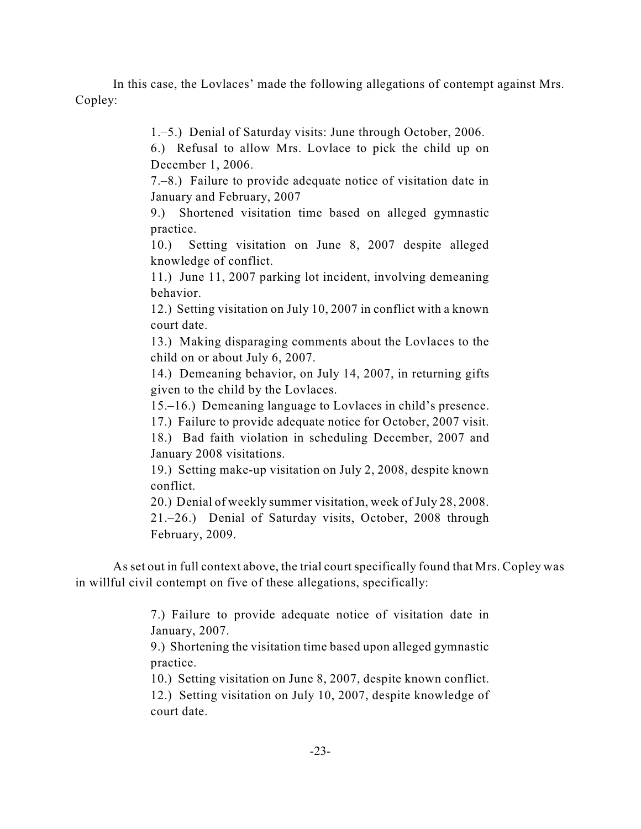In this case, the Lovlaces' made the following allegations of contempt against Mrs. Copley:

1.–5.) Denial of Saturday visits: June through October, 2006.

6.) Refusal to allow Mrs. Lovlace to pick the child up on December 1, 2006.

7.–8.) Failure to provide adequate notice of visitation date in January and February, 2007

9.) Shortened visitation time based on alleged gymnastic practice.

10.) Setting visitation on June 8, 2007 despite alleged knowledge of conflict.

11.) June 11, 2007 parking lot incident, involving demeaning behavior.

12.) Setting visitation on July 10, 2007 in conflict with a known court date.

13.) Making disparaging comments about the Lovlaces to the child on or about July 6, 2007.

14.) Demeaning behavior, on July 14, 2007, in returning gifts given to the child by the Lovlaces.

15.–16.) Demeaning language to Lovlaces in child's presence.

17.) Failure to provide adequate notice for October, 2007 visit.

18.) Bad faith violation in scheduling December, 2007 and January 2008 visitations.

19.) Setting make-up visitation on July 2, 2008, despite known conflict.

20.) Denial of weekly summer visitation, week of July 28, 2008.

21.–26.) Denial of Saturday visits, October, 2008 through February, 2009.

As set out in full context above, the trial court specifically found that Mrs. Copley was in willful civil contempt on five of these allegations, specifically:

> 7.) Failure to provide adequate notice of visitation date in January, 2007.

> 9.) Shortening the visitation time based upon alleged gymnastic practice.

> 10.) Setting visitation on June 8, 2007, despite known conflict.

12.) Setting visitation on July 10, 2007, despite knowledge of court date.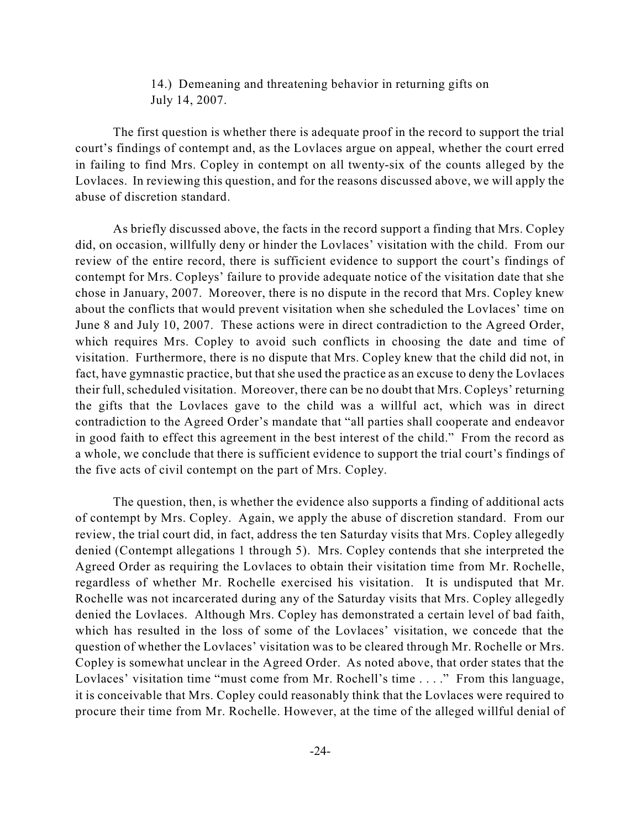# 14.) Demeaning and threatening behavior in returning gifts on July 14, 2007.

The first question is whether there is adequate proof in the record to support the trial court's findings of contempt and, as the Lovlaces argue on appeal, whether the court erred in failing to find Mrs. Copley in contempt on all twenty-six of the counts alleged by the Lovlaces. In reviewing this question, and for the reasons discussed above, we will apply the abuse of discretion standard.

As briefly discussed above, the facts in the record support a finding that Mrs. Copley did, on occasion, willfully deny or hinder the Lovlaces' visitation with the child. From our review of the entire record, there is sufficient evidence to support the court's findings of contempt for Mrs. Copleys' failure to provide adequate notice of the visitation date that she chose in January, 2007. Moreover, there is no dispute in the record that Mrs. Copley knew about the conflicts that would prevent visitation when she scheduled the Lovlaces' time on June 8 and July 10, 2007. These actions were in direct contradiction to the Agreed Order, which requires Mrs. Copley to avoid such conflicts in choosing the date and time of visitation. Furthermore, there is no dispute that Mrs. Copley knew that the child did not, in fact, have gymnastic practice, but that she used the practice as an excuse to deny the Lovlaces their full, scheduled visitation. Moreover, there can be no doubt that Mrs. Copleys' returning the gifts that the Lovlaces gave to the child was a willful act, which was in direct contradiction to the Agreed Order's mandate that "all parties shall cooperate and endeavor in good faith to effect this agreement in the best interest of the child." From the record as a whole, we conclude that there is sufficient evidence to support the trial court's findings of the five acts of civil contempt on the part of Mrs. Copley.

The question, then, is whether the evidence also supports a finding of additional acts of contempt by Mrs. Copley. Again, we apply the abuse of discretion standard. From our review, the trial court did, in fact, address the ten Saturday visits that Mrs. Copley allegedly denied (Contempt allegations 1 through 5). Mrs. Copley contends that she interpreted the Agreed Order as requiring the Lovlaces to obtain their visitation time from Mr. Rochelle, regardless of whether Mr. Rochelle exercised his visitation. It is undisputed that Mr. Rochelle was not incarcerated during any of the Saturday visits that Mrs. Copley allegedly denied the Lovlaces. Although Mrs. Copley has demonstrated a certain level of bad faith, which has resulted in the loss of some of the Lovlaces' visitation, we concede that the question of whether the Lovlaces' visitation was to be cleared through Mr. Rochelle or Mrs. Copley is somewhat unclear in the Agreed Order. As noted above, that order states that the Lovlaces' visitation time "must come from Mr. Rochell's time . . . ." From this language, it is conceivable that Mrs. Copley could reasonably think that the Lovlaces were required to procure their time from Mr. Rochelle. However, at the time of the alleged willful denial of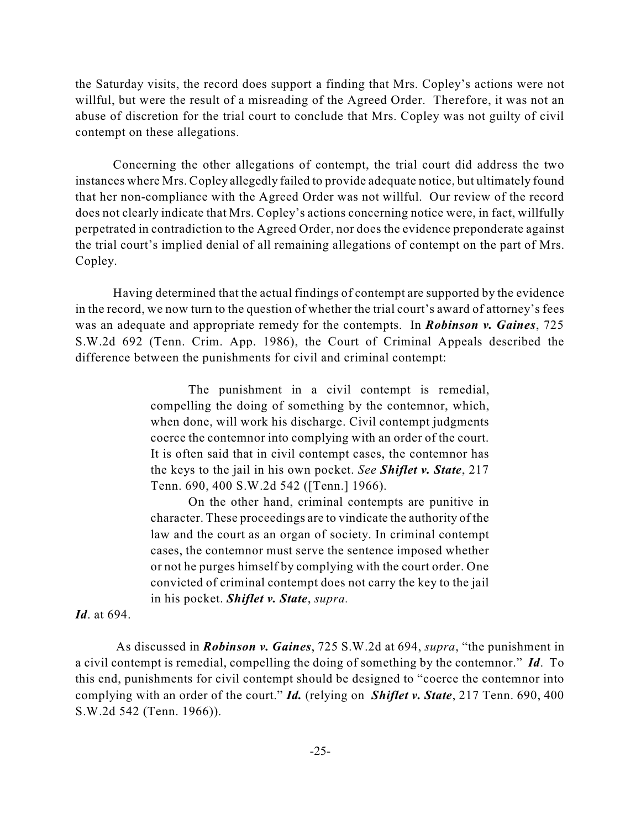the Saturday visits, the record does support a finding that Mrs. Copley's actions were not willful, but were the result of a misreading of the Agreed Order. Therefore, it was not an abuse of discretion for the trial court to conclude that Mrs. Copley was not guilty of civil contempt on these allegations.

Concerning the other allegations of contempt, the trial court did address the two instances where Mrs. Copley allegedly failed to provide adequate notice, but ultimately found that her non-compliance with the Agreed Order was not willful. Our review of the record does not clearly indicate that Mrs. Copley's actions concerning notice were, in fact, willfully perpetrated in contradiction to the Agreed Order, nor does the evidence preponderate against the trial court's implied denial of all remaining allegations of contempt on the part of Mrs. Copley.

Having determined that the actual findings of contempt are supported by the evidence in the record, we now turn to the question of whether the trial court's award of attorney's fees was an adequate and appropriate remedy for the contempts. In *Robinson v. Gaines*, 725 S.W.2d 692 (Tenn. Crim. App. 1986), the Court of Criminal Appeals described the difference between the punishments for civil and criminal contempt:

> The punishment in a civil contempt is remedial, compelling the doing of something by the contemnor, which, when done, will work his discharge. Civil contempt judgments coerce the contemnor into complying with an order of the court. It is often said that in civil contempt cases, the contemnor has the keys to the jail in his own pocket. *See Shiflet v. State*, 217 Tenn. 690, 400 S.W.2d 542 ([Tenn.] 1966).

> On the other hand, criminal contempts are punitive in character. These proceedings are to vindicate the authority of the law and the court as an organ of society. In criminal contempt cases, the contemnor must serve the sentence imposed whether or not he purges himself by complying with the court order. One convicted of criminal contempt does not carry the key to the jail in his pocket. *Shiflet v. State*, *supra.*

*Id*. at 694.

 As discussed in *Robinson v. Gaines*, 725 S.W.2d at 694, *supra*, "the punishment in a civil contempt is remedial, compelling the doing of something by the contemnor." *Id*. To this end, punishments for civil contempt should be designed to "coerce the contemnor into complying with an order of the court." *Id.* (relying on *Shiflet v. State*, 217 Tenn. 690, 400 S.W.2d 542 (Tenn. 1966)).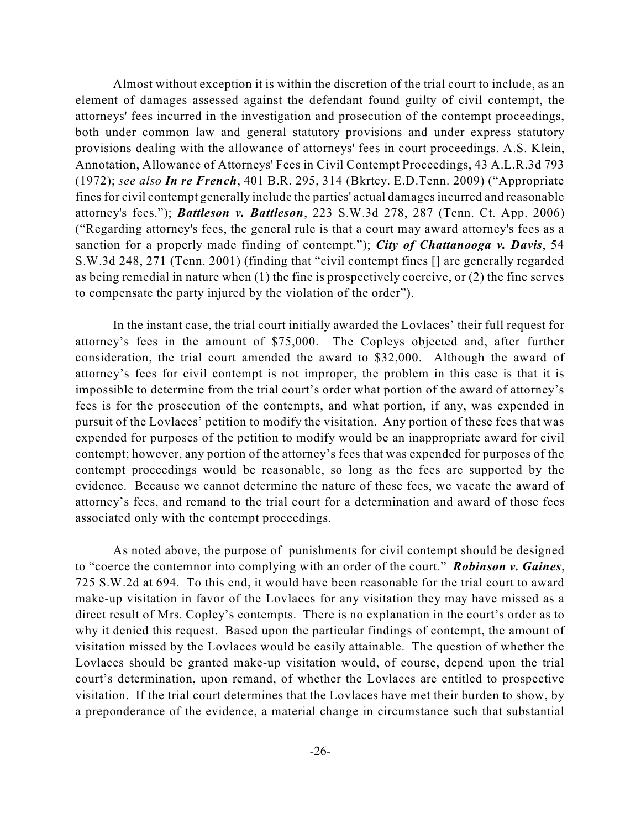Almost without exception it is within the discretion of the trial court to include, as an element of damages assessed against the defendant found guilty of civil contempt, the attorneys' fees incurred in the investigation and prosecution of the contempt proceedings, both under common law and general statutory provisions and under express statutory provisions dealing with the allowance of attorneys' fees in court proceedings. A.S. Klein, Annotation, Allowance of Attorneys' Fees in Civil Contempt Proceedings, 43 A.L.R.3d 793 (1972); *see also In re French*, 401 B.R. 295, 314 (Bkrtcy. E.D.Tenn. 2009) ("Appropriate fines for civil contempt generally include the parties' actual damages incurred and reasonable attorney's fees."); *Battleson v. Battleson*, 223 S.W.3d 278, 287 (Tenn. Ct. App. 2006) ("Regarding attorney's fees, the general rule is that a court may award attorney's fees as a sanction for a properly made finding of contempt."); *City of Chattanooga v. Davis*, 54 S.W.3d 248, 271 (Tenn. 2001) (finding that "civil contempt fines [] are generally regarded as being remedial in nature when (1) the fine is prospectively coercive, or (2) the fine serves to compensate the party injured by the violation of the order").

In the instant case, the trial court initially awarded the Lovlaces' their full request for attorney's fees in the amount of \$75,000. The Copleys objected and, after further consideration, the trial court amended the award to \$32,000. Although the award of attorney's fees for civil contempt is not improper, the problem in this case is that it is impossible to determine from the trial court's order what portion of the award of attorney's fees is for the prosecution of the contempts, and what portion, if any, was expended in pursuit of the Lovlaces' petition to modify the visitation. Any portion of these fees that was expended for purposes of the petition to modify would be an inappropriate award for civil contempt; however, any portion of the attorney's fees that was expended for purposes of the contempt proceedings would be reasonable, so long as the fees are supported by the evidence. Because we cannot determine the nature of these fees, we vacate the award of attorney's fees, and remand to the trial court for a determination and award of those fees associated only with the contempt proceedings.

As noted above, the purpose of punishments for civil contempt should be designed to "coerce the contemnor into complying with an order of the court." *Robinson v. Gaines*, 725 S.W.2d at 694. To this end, it would have been reasonable for the trial court to award make-up visitation in favor of the Lovlaces for any visitation they may have missed as a direct result of Mrs. Copley's contempts. There is no explanation in the court's order as to why it denied this request. Based upon the particular findings of contempt, the amount of visitation missed by the Lovlaces would be easily attainable. The question of whether the Lovlaces should be granted make-up visitation would, of course, depend upon the trial court's determination, upon remand, of whether the Lovlaces are entitled to prospective visitation. If the trial court determines that the Lovlaces have met their burden to show, by a preponderance of the evidence, a material change in circumstance such that substantial